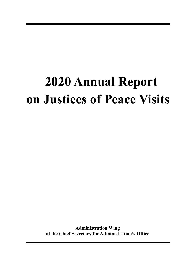# **2020 Annual Report on Justices of Peace Visits**

**Administration Wing of the Chief Secretary for Administration's Office**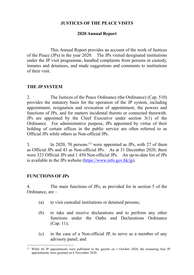#### **JUSTICES OF THE PEACE VISITS**

#### **2020 Annual Report**

This Annual Report provides an account of the work of Justices of the Peace (JPs) in the year 2020. The JPs visited designated institutions under the JP visit programme, handled complaints from persons in custody, inmates and detainees, and made suggestions and comments to institutions of their visit.

#### **THE JP SYSTEM**

2. The Justices of the Peace Ordinance (the Ordinance) (Cap. 510) provides the statutory basis for the operation of the JP system, including appointment, resignation and revocation of appointment, the powers and functions of JPs, and for matters incidental thereto or connected therewith. JPs are appointed by the Chief Executive under section 3(1) of the Ordinance. For administrative purpose, JPs appointed by virtue of their holding of certain offices in the public service are often referred to as Official JPs while others as Non-official JPs.

3. In 2020, 70 persons<sup>[\(1\)](#page-1-0)</sup> were appointed as JPs, with 27 of them as Official JPs and 43 as Non-official JPs. As at 31 December 2020, there were 323 Official JPs and 1 450 Non-official JPs. An up-to-date list of JPs is available in the JPs website [\(https://www.info.gov.hk/jp\)](https://www.info.gov.hk/jp).

## **FUNCTIONS OF JPs**

4. The main functions of JPs, as provided for in section 5 of the Ordinance, are –

- (a) to visit custodial institutions or detained persons;
- (b) to take and receive declarations and to perform any other functions under the Oaths and Declarations Ordinance (Cap. 11);
- (c) in the case of a Non-official JP, to serve as a member of any advisory panel; and

<span id="page-1-0"></span> $(1)$  While 66 JP appointments were published in the gazette on 1 October 2020, the remaining four JP appointments were gazetted on 6 November 2020.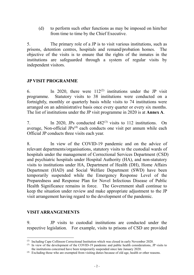(d) to perform such other functions as may be imposed on him/her from time to time by the Chief Executive.

5. The primary role of a JP is to visit various institutions, such as prisons, detention centres, hospitals and remand/probation homes. The objective of the visits is to ensure that the rights of the inmates in the institutions are safeguarded through a system of regular visits by independent visitors.

## **JP VISIT PROGRAMME**

6. In 2020, there were  $112^{(2)}$  $112^{(2)}$  $112^{(2)}$  institutions under the JP visit programme. Statutory visits to 38 institutions were conducted on a fortnightly, monthly or quarterly basis while visits to 74 institutions were arranged on an administrative basis once every quarter or every six months. The list of institutions under the JP visit programme in 2020 is at **Annex A**.

7. In 2020, JPs conducted 482<sup>[\(3\)](#page-2-1)</sup> visits to 112 institutions. On average, Non-official  $JPs^{(4)}$  $JPs^{(4)}$  $JPs^{(4)}$  each conducts one visit per annum while each Official JP conducts three visits each year.

8. In view of the COVID-19 pandemic and on the advice of relevant departments/organisations, statutory visits to the custodial wards of hospitals under the management of Correctional Services Department (CSD) and psychiatric hospitals under Hospital Authority (HA), and non-statutory visits to institutions under HA, Department of Health (DH), Home Affairs Department (HAD) and Social Welfare Department (SWD) have been temporarily suspended while the Emergency Response Level of the Preparedness and Response Plan for Novel Infectious Disease of Public Health Significance remains in force. The Government shall continue to keep the situation under review and make appropriate adjustment to the JP visit arrangement having regard to the development of the pandemic.

## **VISIT ARRANGEMENTS**

9. JP visits to custodial institutions are conducted under the respective legislation. For example, visits to prisons of CSD are provided

<span id="page-2-0"></span> <sup>(2)</sup> Including Cape Collinson Correctional Institution which was closed in early November 2020.

<span id="page-2-1"></span><sup>(3)</sup> In view of the development of the COVID-19 pandemic and public health considerations, JP visits to the institutions concerned have been temporarily suspended since late January 2020.

<span id="page-2-2"></span><sup>(4)</sup> Excluding those who are exempted from visiting duties because of old age, health or other reasons.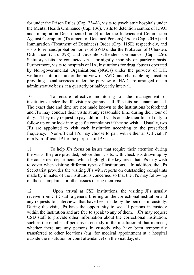for under the Prison Rules (Cap. 234A), visits to psychiatric hospitals under the Mental Health Ordinance (Cap. 136), visits to detention centres of ICAC and Immigration Department (ImmD) under the Independent Commission Against Corruption (Treatment of Detained Persons) Order (Cap. 204A) and Immigration (Treatment of Detainees) Order (Cap. 115E) respectively, and visits to remand/probation homes of SWD under the Probation of Offenders Ordinance (Cap. 298) and Juvenile Offenders Ordinance (Cap. 226). Statutory visits are conducted on a fortnightly, monthly or quarterly basis. Furthermore, visits to hospitals of HA, institutions for drug abusers operated by Non-governmental Organisations (NGOs) under the purview of DH, welfare institutions under the purview of SWD, and charitable organisation providing social services under the purview of HAD are arranged on an administrative basis at a quarterly or half-yearly interval.

10. To ensure effective monitoring of the management of institutions under the JP visit programme, all JP visits are unannounced. The exact date and time are not made known to the institutions beforehand and JPs may conduct their visits at any reasonable time during their tour of duty. They may request to pay additional visits outside their tour of duty to follow up on or look into specific complaints if they so wish. Usually, two JPs are appointed to visit each institution according to the prescribed frequency. Non-official JPs may choose to pair with either an Official JP or a Non-official JP for the purpose of JP visits.

11. To help JPs focus on issues that require their attention during the visits, they are provided, before their visits, with checklists drawn up by the concerned departments which highlight the key areas that JPs may wish to cover when visiting different types of institutions. In addition, the JPs Secretariat provides the visiting JPs with reports on outstanding complaints made by inmates of the institutions concerned so that the JPs may follow up on those complaints or other issues during their visits.

12. Upon arrival at CSD institutions, the visiting JPs usually receive from CSD staff a general briefing on the correctional institution and any requests for interviews that have been made by the persons in custody. During the visit, JPs have the opportunity to see all persons in custody within the institution and are free to speak to any of them. JPs may request CSD staff to provide other information about the correctional institution, such as the number of persons in custody in the institution at that moment, whether there are any persons in custody who have been temporarily transferred to other locations (e.g. for medical appointment at a hospital outside the institution or court attendance) on the visit day, etc.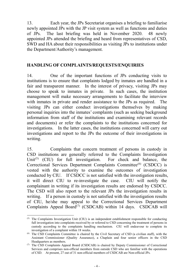13. Each year, the JPs Secretariat organises a briefing to familiarise newly appointed JPs with the JP visit system as well as functions and duties of JPs. The last briefing was held in November 2020. 48 newly appointed JPs attended the briefing and heard from representatives of CSD, SWD and HA about their responsibilities as visiting JPs to institutions under the Department/Authority's management.

#### **HANDLING OF COMPLAINTS/REQUESTS/ENQUIRIES**

14. One of the important functions of JPs conducting visits to institutions is to ensure that complaints lodged by inmates are handled in a fair and transparent manner. In the interest of privacy, visiting JPs may choose to speak to inmates in private. In such cases, the institution management will make necessary arrangements to facilitate the interview with inmates in private and render assistance to the JPs as required. The visiting JPs can either conduct investigations themselves by making personal inquiries into the inmates' complaints (such as seeking background information from staff of the institutions and examining relevant records and documents) or refer the complaints to the institutions concerned for investigations. In the latter cases, the institutions concerned will carry out investigations and report to the JPs the outcome of their investigations in writing.

15. Complaints that concern treatment of persons in custody in CSD institutions are generally referred to the Complaints Investigation Unit<sup>[\(](#page-4-0)5)</sup> (CIU) for full investigation. For check and balance, the Correctional Services Department Complaints Committee<sup>[\(6](#page-4-1))</sup> (CSDCC) is vested with the authority to examine the outcomes of investigation conducted by CIU. If CSDCC is not satisfied with the investigation results, it will direct CIU to re-investigate the case. CIU will notify the complainant in writing if its investigation results are endorsed by CSDCC. The CSD will also report to the relevant JPs the investigation results in writing. If a person in custody is not satisfied with the investigation results of CIU, he/she may appeal to the Correctional Services Department Complaints Appeal Board<sup> $(7)$  $(7)$ </sup> (CSDCAB) within 14 days. CSDCAB will

<span id="page-4-0"></span> <sup>(5)</sup> The Complaints Investigation Unit (CIU) is an independent establishment responsible for conducting full investigation into complaints received by or referred to CSD concerning the treatment of persons in custody according to the complaints handling mechanism. CIU will endeavour to complete its investigation of a complaint within 18 weeks.

<span id="page-4-1"></span><sup>(6)</sup> The CSD Complaints Committee is chaired by the Civil Secretary of CSD (a civilian staff), with the Assistant Commissioner (Quality Assurance), a Chaplain and four senior officers in the CSD Headquarters as members.

<span id="page-4-2"></span><sup>(7)</sup> The CSD Complaints Appeal Board (CSDCAB) is chaired by Deputy Commissioner of Correctional Services and comprises non-official members from outside CSD who are familiar with the operations of CSD. At present, 27 out of 31 non-official members of CSDCAB are Non-official JPs.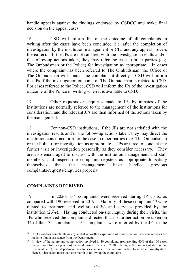handle appeals against the findings endorsed by CSDCC and make final decision on the appeal cases.

16. CSD will inform JPs of the outcome of all complaints in writing after the cases have been concluded (i.e. after the completion of investigation by the institution management or CIU and any appeal process thereafter). If the JPs are not satisfied with the investigation results and/or the follow-up actions taken, they may refer the case to other parties (e.g. The Ombudsman or the Police) for investigation as appropriate. In cases where the complaint has been referred to The Ombudsman, the Office of The Ombudsman will contact the complainant directly. CSD will inform the JPs if the investigation outcome of The Ombudsman is related to CSD. For cases referred to the Police, CSD will inform the JPs of the investigation outcome of the Police in writing when it is available to CSD.

17. Other requests or enquiries made to JPs by inmates of the institutions are normally referred to the management of the institutions for consideration, and the relevant JPs are then informed of the actions taken by the management.

18. For non-CSD institutions, if the JPs are not satisfied with the investigation results and/or the follow-up actions taken, they may direct the institution concerned or refer the case to other parties (e.g. The Ombudsman or the Police) for investigation as appropriate. JPs are free to conduct any further visit or investigation personally as they consider necessary. They are also encouraged to discuss with the institution management and staff members, and inspect the complaint registers as appropriate to satisfy themselves that the management have handled previous complaints/requests/enquiries properly.

## **COMPLAINTS RECEIVED**

19. In 2020, 134 complaints were received during JP visits, as compared with 190 received in 2019. Majority of these complaints<sup>[\(8](#page-5-0))</sup> were related to treatment and welfare (41%) and services provided by the institution (26%). Having conducted on-site inquiry during their visits, the JPs who received the complaints directed that no further action be taken on 34 of the 134 complaints. 55 complaints were referred by the JPs to the

<span id="page-5-0"></span> <sup>(8)</sup> CSD classifies complaints as any verbal or written expression of dissatisfaction, whereas requests are made to obtain assistance from the Department.

 $(9)$  In view of the nature and complication involved in 40 complaints (representing 40% of the 100 cases that required follow-up action) received during JP visits in 2020 (relating to the conduct of staff, unfair treatment, etc.), the department has to seek inputs from various parties to conduct investigation. Hence, it has taken more than one month to follow up the complaints.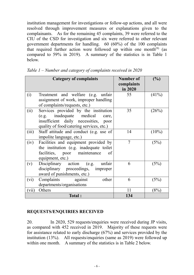institution management for investigations or follow-up actions, and all were resolved through improvement measures or explanations given to the complainants. As for the remaining 45 complaints, 39 were referred to the CIU of the CSD for investigation and six were referred to other relevant government departments for handling. 60 (60%) of the 100 complaints that required further action were followed up within one month<sup> $(9)$ </sup> (as compared to 59% in 2019). A summary of the statistics is in Table 1 below.

|       | <b>Category of complaints</b>                                                                                                                                 | Number of<br>complaints<br>in 2020 | (%)      |
|-------|---------------------------------------------------------------------------------------------------------------------------------------------------------------|------------------------------------|----------|
| (i)   | Treatment and welfare (e.g. unfair<br>assignment of work, improper handling<br>of complaints/requests, etc.)                                                  | 55                                 | $(41\%)$ |
| (ii)  | Services provided by the institution<br>(e.g. inadequate medical<br>care,<br>insufficient daily necessities, poor<br>quality of food/catering services, etc.) | 35                                 | (26%)    |
| (iii) | Staff attitude and conduct (e.g. use of<br>impolite language, etc.)                                                                                           | 14                                 | $(10\%)$ |
| (iv)  | Facilities and equipment provided by<br>the institution (e.g. inadequate toilet<br>facilities, poor maintenance<br>of<br>equipment, etc.)                     | 7                                  | (5%)     |
| (v)   | Disciplinary action (e.g.<br>unfair<br>disciplinary proceedings, improper<br>award of punishments, etc.)                                                      | 6                                  | (5%)     |
| (vi)  | Complaints against<br>other<br>departments/organisations                                                                                                      | 6                                  | (5%)     |
| (vii) | Others                                                                                                                                                        | 11                                 | (8%)     |
|       | Total:                                                                                                                                                        | 134                                |          |

*Table 1 – Number and category of complaints received in 2020*

## **REQUESTS/ENQUIRIES RECEIVED**

20. In 2020, 529 requests/enquiries were received during JP visits, as compared with 452 received in 2019. Majority of these requests were for assistance related to early discharge (67%) and services provided by the institution (13%). All requests/enquiries (same as 2019) were followed up within one month. A summary of the statistics is in Table 2 below.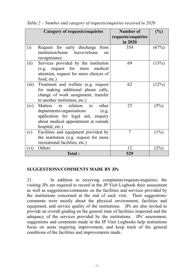|       | <b>Category of requests/enquiries</b>        | Number of          | (%)     |
|-------|----------------------------------------------|--------------------|---------|
|       |                                              | requests/enquiries |         |
|       |                                              | in 2020            |         |
| (i)   | Request for early discharge from             | 354                | (67%)   |
|       | institution/home leave/release<br>$\alpha$ n |                    |         |
|       | recognisance                                 |                    |         |
| (ii)  | Services provided by the institution         | 69                 | (13%)   |
|       | (e.g. request for more<br>medical            |                    |         |
|       | attention, request for more choices of       |                    |         |
|       | food, etc.)                                  |                    |         |
| (iii) | Treatment and welfare (e.g. request          | 62                 | (12%)   |
|       | for making additional phone calls,           |                    |         |
|       | change of work assignment, transfer          |                    |         |
|       | to another institution, etc.)                |                    |         |
| (iv)  | relation<br>Matters in<br>other<br>to        | 25                 | (5%)    |
|       | departments/organisations<br>(e.g.           |                    |         |
|       | application for legal aid, enquiry           |                    |         |
|       | about medical appointment at outside         |                    |         |
|       | hospital, etc.)                              |                    |         |
| (v)   | Facilities and equipment provided by         | 7                  | $(1\%)$ |
|       | the institution (e.g. request for more       |                    |         |
|       | recreational facilities, etc.)               |                    |         |
| (vi)  | Others                                       | 12                 | (2%)    |
|       | <b>Total:</b>                                | 529                |         |

*Table 2 – Number and category of requests/enquiries received in 2020*

#### **SUGGESTIONS/COMMENTS MADE BY JPs**

21. In addition to receiving complaints/requests/enquiries, the visiting JPs are required to record in the JP Visit Logbook their assessment as well as suggestions/comments on the facilities and services provided by the institutions concerned at the end of each visit. Their suggestions/ comments were mostly about the physical environment, facilities and equipment, and service quality of the institutions. JPs are also invited to provide an overall grading on the general state of facilities inspected and the adequacy of the services provided by the institutions. JPs' assessment, suggestions and comments made in the JP Visit Logbooks help institutions focus on areas requiring improvement, and keep track of the general conditions of the facilities and improvements made.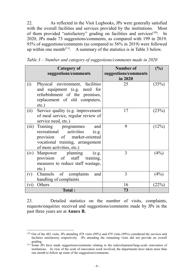22. As reflected in the Visit Logbooks, JPs were generally satisfied with the overall facilities and services provided by the institutions. Most of them provided "satisfactory" grading on facilities and services<sup>(10)</sup>. In 2020, JPs made 73 suggestions/comments, as compared with 199 in 2019. 93% of suggestions/comments (as compared to 56% in 2019) were followed up within one month<sup>[\(1](#page-8-0)1)</sup>. A summary of the statistics is in Table 3 below.

|       | Category of<br>suggestions/comments                                                                                                                             | Number of<br>suggestions/comments<br>in 2020 | $(\%)$ |
|-------|-----------------------------------------------------------------------------------------------------------------------------------------------------------------|----------------------------------------------|--------|
| (i)   | Physical environment, facilities<br>and equipment (e.g. need for<br>refurbishment of the premises,<br>replacement of old computers,<br>$etc.$ )                 | 25                                           | (35%)  |
| (ii)  | Service quality (e.g. improvement<br>of meal service, regular review of<br>service need, etc.)                                                                  | 17                                           | (23%)  |
| (iii) | Training programmes<br>and<br>recreational activities<br>(e.g.<br>provision of market-oriented<br>vocational training, arrangement<br>of more activities, etc.) | 9                                            | (12%)  |
| (iv)  | Manpower planning<br>(e.g.<br>provision of staff training,<br>measures to reduce staff wastage,<br>$etc.$ )                                                     | 3                                            | (4%)   |
| (v)   | Channels of complaints<br>and<br>handling of complaints                                                                                                         | 3                                            | (4%)   |
| (vi)  | Others                                                                                                                                                          | 16                                           | (22%)  |
|       | <b>Total:</b>                                                                                                                                                   | 73                                           |        |

*Table 3 – Number and category of suggestions/comments made in 2020*

23. Detailed statistics on the number of visits, complaints, requests/enquiries received and suggestions/comments made by JPs in the past three years are at **Annex B.** 

<span id="page-8-0"></span> <sup>(10)</sup> Out of the 482 visits, JPs attending 478 visits (99%) and 479 visits (99%) considered the services and facilities satisfactory respectively. JPs attending the remaining visits did not provide an overall grading.

<sup>&</sup>lt;sup>(11)</sup> Some JPs have made suggestions/comments relating to the redevelopment/large-scale renovation of institutions. In view of the scale of renovation work involved, the departments have taken more than one month to follow up some of the suggestions/comments.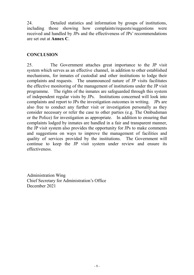24. Detailed statistics and information by groups of institutions, including those showing how complaints/requests/suggestions were received and handled by JPs and the effectiveness of JPs' recommendations are set out at **Annex C**.

## **CONCLUSION**

25. The Government attaches great importance to the JP visit system which serves as an effective channel, in addition to other established mechanisms, for inmates of custodial and other institutions to lodge their complaints and requests. The unannounced nature of JP visits facilitates the effective monitoring of the management of institutions under the JP visit programme. The rights of the inmates are safeguarded through this system of independent regular visits by JPs. Institutions concerned will look into complaints and report to JPs the investigation outcomes in writing. JPs are also free to conduct any further visit or investigation personally as they consider necessary or refer the case to other parties (e.g. The Ombudsman or the Police) for investigation as appropriate. In addition to ensuring that complaints lodged by inmates are handled in a fair and transparent manner, the JP visit system also provides the opportunity for JPs to make comments and suggestions on ways to improve the management of facilities and quality of services provided by the institutions. The Government will continue to keep the JP visit system under review and ensure its effectiveness.

Administration Wing Chief Secretary for Administration's Office December 2021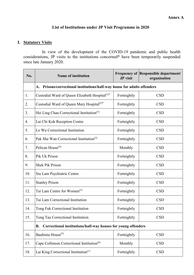#### **List of Institutions under JP Visit Programme in 2020**

## **I. Statutory Visits**

In view of the development of the COVID-19 pandemic and public health considerations, JP visits to the institutions concerned\* have been temporarily suspended since late January 2020.

| No. | <b>Name of institution</b>                                                  | <b>JP</b> visit | <b>Frequency of Responsible department/</b><br>organisation |
|-----|-----------------------------------------------------------------------------|-----------------|-------------------------------------------------------------|
|     | Prisons/correctional institutions/half-way house for adults offenders<br>A. |                 |                                                             |
| 1.  | Custodial Ward of Queen Elizabeth Hospital <sup>(1)*</sup>                  | Fortnightly     | <b>CSD</b>                                                  |
| 2.  | Custodial Ward of Queen Mary Hospital <sup>(2)*</sup>                       | Fortnightly     | <b>CSD</b>                                                  |
| 3.  | Hei Ling Chau Correctional Institution <sup>(3)</sup>                       | Fortnightly     | <b>CSD</b>                                                  |
| 4.  | Lai Chi Kok Reception Centre                                                | Fortnightly     | <b>CSD</b>                                                  |
| 5.  | Lo Wu Correctional Institution                                              | Fortnightly     | <b>CSD</b>                                                  |
| 6.  | Pak Sha Wan Correctional Institution <sup>(2)</sup>                         | Fortnightly     | <b>CSD</b>                                                  |
| 7.  | Pelican House <sup>(4)</sup>                                                | Monthly         | <b>CSD</b>                                                  |
| 8.  | Pik Uk Prison                                                               | Fortnightly     | <b>CSD</b>                                                  |
| 9.  | <b>Shek Pik Prison</b>                                                      | Fortnightly     | <b>CSD</b>                                                  |
| 10. | Siu Lam Psychiatric Centre                                                  | Fortnightly     | <b>CSD</b>                                                  |
| 11. | <b>Stanley Prison</b>                                                       | Fortnightly     | <b>CSD</b>                                                  |
| 12. | Tai Lam Centre for Women <sup>(5)</sup>                                     | Fortnightly     | <b>CSD</b>                                                  |
| 13. | Tai Lam Correctional Institution                                            | Fortnightly     | <b>CSD</b>                                                  |
| 14. | Tong Fuk Correctional Institution                                           | Fortnightly     | <b>CSD</b>                                                  |
| 15. | Tung Tau Correctional Institution                                           | Fortnightly     | <b>CSD</b>                                                  |
|     | Correctional institutions/half-way houses for young offenders<br>В.         |                 |                                                             |
| 16. | Bauhinia House <sup>(5)</sup>                                               | Fortnightly     | <b>CSD</b>                                                  |
| 17. | Cape Collinson Correctional Institution <sup>(6)</sup>                      | Monthly         | <b>CSD</b>                                                  |
| 18. | Lai King Correctional Institution $(1)$                                     | Fortnightly     | <b>CSD</b>                                                  |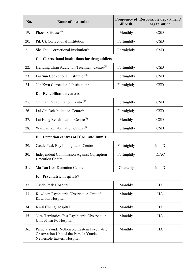| No. | <b>Name of institution</b>                                                                                         | JP visit    | <b>Frequency of Responsible department/</b><br>organisation |
|-----|--------------------------------------------------------------------------------------------------------------------|-------------|-------------------------------------------------------------|
| 19. | Phoenix House <sup><math>(4)</math></sup>                                                                          | Monthly     | <b>CSD</b>                                                  |
| 20. | Pik Uk Correctional Institution                                                                                    | Fortnightly | <b>CSD</b>                                                  |
| 21. | Sha Tsui Correctional Institution <sup>(7)</sup>                                                                   | Fortnightly | <b>CSD</b>                                                  |
|     | C. Correctional institutions for drug addicts                                                                      |             |                                                             |
| 22. | Hei Ling Chau Addiction Treatment Centre <sup>(8)</sup>                                                            | Fortnightly | <b>CSD</b>                                                  |
| 23. | Lai Sun Correctional Institution <sup>(8)</sup>                                                                    | Fortnightly | <b>CSD</b>                                                  |
| 24. | Nei Kwu Correctional Institution <sup>(3)</sup>                                                                    | Fortnightly | <b>CSD</b>                                                  |
|     | <b>Rehabilitation centres</b><br>D.                                                                                |             |                                                             |
| 25. | Chi Lan Rehabilitation Centre <sup>(1)</sup>                                                                       | Fortnightly | <b>CSD</b>                                                  |
| 26. | Lai Chi Rehabilitation Centre <sup>(7)</sup>                                                                       | Fortnightly | <b>CSD</b>                                                  |
| 27. | Lai Hang Rehabilitation Centre <sup>(4)</sup>                                                                      | Monthly     | <b>CSD</b>                                                  |
| 28. | Wai Lan Rehabilitation Centre <sup>(5)</sup>                                                                       | Fortnightly | <b>CSD</b>                                                  |
|     | Detention centres of ICAC and ImmD<br>E.                                                                           |             |                                                             |
| 29. | Castle Peak Bay Immigration Centre                                                                                 | Fortnightly | ImmD                                                        |
| 30. | <b>Independent Commission Against Corruption</b><br><b>Detention Centre</b>                                        | Fortnightly | <b>ICAC</b>                                                 |
| 31. | Ma Tau Kok Detention Centre                                                                                        | Quarterly   | ImmD                                                        |
|     | Psychiatric hospitals*<br>F.                                                                                       |             |                                                             |
| 32. | Castle Peak Hospital                                                                                               | Monthly     | HA                                                          |
| 33. | Kowloon Psychiatric Observation Unit of<br>Kowloon Hospital                                                        | Monthly     | HA                                                          |
| 34. | Kwai Chung Hospital                                                                                                | Monthly     | <b>HA</b>                                                   |
| 35. | New Territories East Psychiatric Observation<br>Unit of Tai Po Hospital                                            | Monthly     | HA                                                          |
| 36. | Pamela Youde Nethersole Eastern Psychiatric<br>Observation Unit of the Pamela Youde<br>Nethersole Eastern Hospital | Monthly     | HA                                                          |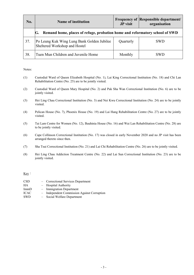| No. | <b>Name of institution</b>                                                        | <b>JP</b> visit | <b>Frequency of Responsible department/</b><br>organisation |
|-----|-----------------------------------------------------------------------------------|-----------------|-------------------------------------------------------------|
|     | Remand home, places of refuge, probation home and reformatory school of SWD<br>G. |                 |                                                             |
| 37. | Po Leung Kuk Wing Lung Bank Golden Jubilee<br>Sheltered Workshop and Hostel       | Quarterly       | <b>SWD</b>                                                  |
| 38. | Tuen Mun Children and Juvenile Home                                               | Monthly         | <b>SWD</b>                                                  |

Notes:

- (1) Custodial Ward of Queen Elizabeth Hospital (No. 1), Lai King Correctional Institution (No. 18) and Chi Lan Rehabilitation Centre (No. 25) are to be jointly visited.
- (2) Custodial Ward of Queen Mary Hospital (No. 2) and Pak Sha Wan Correctional Institution (No. 6) are to be jointly visited.
- (3) Hei Ling Chau Correctional Institution (No. 3) and Nei Kwu Correctional Institution (No. 24) are to be jointly visited.
- (4) Pelican House (No. 7), Phoenix House (No. 19) and Lai Hang Rehabilitation Centre (No. 27) are to be jointly visited.
- (5) Tai Lam Centre for Women (No. 12), Bauhinia House (No. 16) and Wai Lan Rehabilitation Centre (No. 28) are to be jointly visited.
- (6) Cape Collinson Correctional Institution (No. 17) was closed in early November 2020 and no JP visit has been arranged thereto since then.
- (7) Sha Tsui Correctional Institution (No. 21) and Lai Chi Rehabilitation Centre (No. 26) are to be jointly visited.
- (8) Hei Ling Chau Addiction Treatment Centre (No. 22) and Lai Sun Correctional Institution (No. 23) are to be jointly visited.

Key:

- CSD Correctional Services Department
- HA Hospital Authority
- ImmD Immigration Department
- ICAC Independent Commission Against Corruption
- SWD Social Welfare Department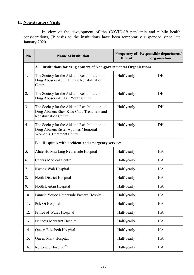# **II. Non-statutory Visits**

In view of the development of the COVID-19 pandemic and public health considerations, JP visits to the institutions have been temporarily suspended since late January 2020.

| No. | <b>Name of institution</b>                                                                                                | <b>Frequency of</b><br><b>JP</b> visit | Responsible department/<br>organisation |
|-----|---------------------------------------------------------------------------------------------------------------------------|----------------------------------------|-----------------------------------------|
|     | <b>Institutions for drug abusers of Non-governmental Organisations</b><br>A.                                              |                                        |                                         |
| 1.  | The Society for the Aid and Rehabilitation of<br>Drug Abusers Adult Female Rehabilitation<br>Centre                       | Half-yearly                            | DH                                      |
| 2.  | The Society for the Aid and Rehabilitation of<br>Drug Abusers Au Tau Youth Centre                                         | Half-yearly                            | DH                                      |
| 3.  | The Society for the Aid and Rehabilitation of<br>Drug Abusers Shek Kwu Chau Treatment and<br><b>Rehabilitation Centre</b> | Half-yearly                            | DH                                      |
| 4.  | The Society for the Aid and Rehabilitation of<br>Drug Abusers Sister Aquinas Memorial<br><b>Women's Treatment Centre</b>  | Half-yearly                            | DH                                      |
|     | Hospitals with accident and emergency services<br><b>B.</b>                                                               |                                        |                                         |
| 5.  | Alice Ho Miu Ling Nethersole Hospital                                                                                     | Half-yearly                            | <b>HA</b>                               |
| 6.  | <b>Caritas Medical Centre</b>                                                                                             | Half-yearly                            | <b>HA</b>                               |
| 7.  | Kwong Wah Hospital                                                                                                        | Half-yearly                            | HA                                      |
| 8.  | North District Hospital                                                                                                   | Half-yearly                            | HA                                      |
| 9.  | North Lantau Hospital                                                                                                     | Half-yearly                            | <b>HA</b>                               |
| 10. | Pamela Youde Nethersole Eastern Hospital                                                                                  | Half-yearly                            | HA                                      |
| 11. | Pok Oi Hospital                                                                                                           | Half-yearly                            | HA                                      |
| 12. | Prince of Wales Hospital                                                                                                  | Half-yearly                            | HA                                      |
| 13. | Princess Margaret Hospital                                                                                                | Half-yearly                            | <b>HA</b>                               |
| 14. | Queen Elizabeth Hospital                                                                                                  | Half-yearly                            | HA                                      |
| 15. | Queen Mary Hospital                                                                                                       | Half-yearly                            | HA                                      |
| 16. | Ruttonjee Hospital <sup>(9)</sup>                                                                                         | Half-yearly                            | HA                                      |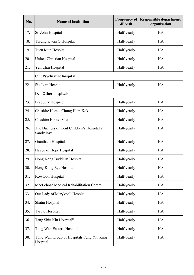| No. | <b>Name of institution</b>                                     | <b>Frequency of</b><br>JP visit | Responsible department/<br>organisation |
|-----|----------------------------------------------------------------|---------------------------------|-----------------------------------------|
| 17. | St. John Hospital                                              | Half-yearly                     | <b>HA</b>                               |
| 18. | Tseung Kwan O Hospital                                         | Half-yearly                     | HA                                      |
| 19. | Tuen Mun Hospital                                              | Half-yearly                     | HA                                      |
| 20. | United Christian Hospital                                      | Half-yearly                     | HA                                      |
| 21. | Yan Chai Hospital                                              | Half-yearly                     | HA                                      |
|     | Psychiatric hospital<br>$\mathbf{C}$ .                         |                                 |                                         |
| 22. | Siu Lam Hospital                                               | Half-yearly                     | <b>HA</b>                               |
|     | <b>Other hospitals</b><br>D.                                   |                                 |                                         |
| 23. | <b>Bradbury Hospice</b>                                        | Half-yearly                     | <b>HA</b>                               |
| 24. | Cheshire Home, Chung Hom Kok                                   | Half-yearly                     | <b>HA</b>                               |
| 25. | Cheshire Home, Shatin                                          | Half-yearly                     | <b>HA</b>                               |
| 26. | The Duchess of Kent Children's Hospital at<br><b>Sandy Bay</b> | Half-yearly                     | HA                                      |
| 27. | Grantham Hospital                                              | Half-yearly                     | <b>HA</b>                               |
| 28. | Haven of Hope Hospital                                         | Half-yearly                     | <b>HA</b>                               |
| 29. | Hong Kong Buddhist Hospital                                    | Half-yearly                     | HA                                      |
| 30. | Hong Kong Eye Hospital                                         | Half-yearly                     | HA                                      |
| 31. | Kowloon Hospital                                               | Half-yearly                     | <b>HA</b>                               |
| 32. | MacLehose Medical Rehabilitation Centre                        | Half-yearly                     | HA                                      |
| 33. | Our Lady of Maryknoll Hospital                                 | Half-yearly                     | HA                                      |
| 34. | Shatin Hospital                                                | Half-yearly                     | HA                                      |
| 35. | Tai Po Hospital                                                | Half-yearly                     | <b>HA</b>                               |
| 36. | Tang Shiu Kin Hospital <sup>(9)</sup>                          | Half-yearly                     | HA                                      |
| 37. | Tung Wah Eastern Hospital                                      | Half-yearly                     | HA                                      |
| 38. | Tung Wah Group of Hospitals Fung Yiu King<br>Hospital          | Half-yearly                     | HA                                      |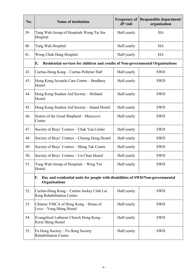| No. | <b>Name of institution</b>                                                                                   | <b>Frequency of</b><br>JP visit | Responsible department/<br>organisation |
|-----|--------------------------------------------------------------------------------------------------------------|---------------------------------|-----------------------------------------|
| 39. | Tung Wah Group of Hospitals Wong Tai Sin<br>Hospital                                                         | Half-yearly                     | HA                                      |
| 40. | Tung Wah Hospital                                                                                            | Half-yearly                     | HA                                      |
| 41. | Wong Chuk Hang Hospital                                                                                      | Half-yearly                     | HA                                      |
|     | E.<br>Residential services for children and youths of Non-governmental Organisations                         |                                 |                                         |
| 42. | Caritas-Hong Kong – Caritas Pelletier Hall                                                                   | Half-yearly                     | <b>SWD</b>                              |
| 43. | Hong Kong Juvenile Care Centre - Bradbury<br>Hostel                                                          | Half-yearly                     | <b>SWD</b>                              |
| 44. | Hong Kong Student Aid Society - Holland<br>Hostel                                                            | Half-yearly                     | <b>SWD</b>                              |
| 45. | Hong Kong Student Aid Society - Island Hostel                                                                | Half-yearly                     | <b>SWD</b>                              |
| 46. | Sisters of the Good Shepherd – Marycove<br>Centre                                                            | Half-yearly                     | <b>SWD</b>                              |
| 47. | Society of Boys' Centres - Chak Yan Centre                                                                   | Half-yearly                     | <b>SWD</b>                              |
| 48. | Society of Boys' Centres – Cheung Hong Hostel                                                                | Half-yearly                     | <b>SWD</b>                              |
| 49. | Society of Boys' Centres - Shing Tak Centre                                                                  | Half-yearly                     | <b>SWD</b>                              |
| 50. | Society of Boys' Centres - Un Chau Hostel                                                                    | Half-yearly                     | <b>SWD</b>                              |
| 51. | Tung Wah Group of Hospitals - Wing Yin<br>Hostel                                                             | Half-yearly                     | <b>SWD</b>                              |
|     | Day and residential units for people with disabilities of SWD/Non-governmental<br>F.<br><b>Organisations</b> |                                 |                                         |
| 52. | Caritas-Hong Kong - Caritas Jockey Club Lai<br>King Rehabilitation Centre                                    | Half-yearly                     | <b>SWD</b>                              |
| 53. | Chinese YMCA of Hong Kong - Home of<br>Love – Yung Shing Hostel                                              | Half-yearly                     | <b>SWD</b>                              |
| 54. | Evangelical Lutheran Church Hong Kong-<br>Kwai Shing Hostel                                                  | Half-yearly                     | <b>SWD</b>                              |
| 55. | Fu Hong Society - Fu Hong Society<br><b>Rehabilitation Centre</b>                                            | Half-yearly                     | <b>SWD</b>                              |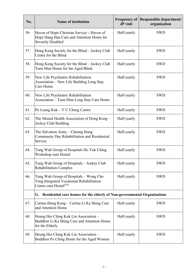| No. | <b>Name of institution</b>                                                                                          | <b>Frequency of</b><br>JP visit | Responsible department/<br>organisation |
|-----|---------------------------------------------------------------------------------------------------------------------|---------------------------------|-----------------------------------------|
| 56. | Haven of Hope Christian Service – Haven of<br>Hope Hang Hau Care and Attention Home for<br><b>Severely Disabled</b> | Half-yearly                     | <b>SWD</b>                              |
| 57. | Hong Kong Society for the Blind - Jockey Club<br>Centre for the Blind                                               | Half-yearly                     | <b>SWD</b>                              |
| 58. | Hong Kong Society for the Blind – Jockey Club<br>Tuen Mun Home for the Aged Blind                                   | Half-yearly                     | <b>SWD</b>                              |
| 59. | New Life Psychiatric Rehabilitation<br>Association – New Life Building Long Stay<br>Care Home                       | Half-yearly                     | <b>SWD</b>                              |
| 60. | New Life Psychiatric Rehabilitation<br>Association - Tuen Mun Long Stay Care Home                                   | Half-yearly                     | <b>SWD</b>                              |
| 61. | Po Leung Kuk – Y C Cheng Centre                                                                                     | Half-yearly                     | <b>SWD</b>                              |
| 62. | The Mental Health Association of Hong Kong –<br>Jockey Club Building                                                | Half-yearly                     | <b>SWD</b>                              |
| 63. | The Salvation Army - Cheung Hong<br>Community Day Rehabilitation and Residential<br>Service                         | Half-yearly                     | <b>SWD</b>                              |
| 64. | Tung Wah Group of Hospitals Ho Yuk Ching<br>Workshop cum Hostel                                                     | Half-yearly                     | <b>SWD</b>                              |
| 65. | Tung Wah Group of Hospitals - Jockey Club<br><b>Rehabilitation Complex</b>                                          | Half-yearly                     | <b>SWD</b>                              |
| 66. | Tung Wah Group of Hospitals - Wong Cho<br>Tong Integrated Vocational Rehabilitation<br>Centre cum $Hostel^{(10)}$   | Half-yearly                     | <b>SWD</b>                              |
|     | G. Residential care homes for the elderly of Non-governmental Organisations                                         |                                 |                                         |
| 67. | Caritas-Hong Kong - Caritas Li Ka Shing Care<br>and Attention Home                                                  | Half-yearly                     | <b>SWD</b>                              |
| 68. | Heung Hoi Ching Kok Lin Association -<br>Buddhist Li Ka Shing Care and Attention Home<br>for the Elderly            | Half-yearly                     | <b>SWD</b>                              |
| 69. | Heung Hoi Ching Kok Lin Association -<br>Buddhist Po Ching Home for the Aged Women                                  | Half-yearly                     | <b>SWD</b>                              |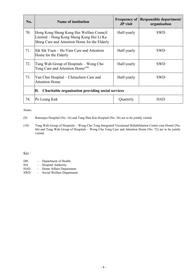| No. | <b>Name of institution</b>                                                                                                            | <b>Frequency of</b><br><b>JP</b> visit | Responsible department/<br>organisation |
|-----|---------------------------------------------------------------------------------------------------------------------------------------|----------------------------------------|-----------------------------------------|
| 70. | Hong Kong Sheng Kung Hui Welfare Council<br>Limited – Hong Kong Sheng Kung Hui Li Ka<br>Shing Care and Attention Home for the Elderly | Half-yearly                            | <b>SWD</b>                              |
| 71. | Sik Sik Yuen – Ho Yam Care and Attention<br>Home for the Elderly                                                                      | Half-yearly                            | <b>SWD</b>                              |
| 72. | Tung Wah Group of Hospitals – Wong Cho<br>Tong Care and Attention Home <sup>(10)</sup>                                                | Half-yearly                            | <b>SWD</b>                              |
| 73. | Yan Chai Hospital – Chinachem Care and<br><b>Attention Home</b>                                                                       | Half-yearly                            | <b>SWD</b>                              |
|     | <b>Charitable organisation providing social services</b><br>Н.                                                                        |                                        |                                         |
| 74. | Po Leung Kuk                                                                                                                          | Quarterly                              | <b>HAD</b>                              |

Notes:

- (9) Ruttonjee Hospital (No. 16) and Tang Shiu Kin Hospital (No. 36) are to be jointly visited.
- (10) Tung Wah Group of Hospitals Wong Cho Tong Integrated Vocational Rehabilitation Centre cum Hostel (No. 66) and Tung Wah Group of Hospitals – Wong Cho Tong Care and Attention Home (No. 72) are to be jointly visited.

Key:

| DH         | Department of Health |
|------------|----------------------|
| <b>TTA</b> | TT '11 A 11 '1       |

- HA Hospital Authority
- HAD Home Affairs Department
- SWD Social Welfare Department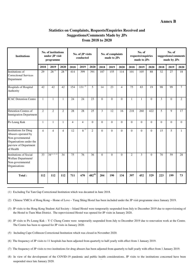#### **Annex B**

#### **Statistics on Complaints, Requests/Enquiries Received and Suggestions/Comments Made by JPs from 2018 to 2020**

| <b>Institutions</b>                                                                                                                      |                | No. of institutions<br>under JP visit<br>programme |                | No. of JP visits<br>conducted |                | No. of complaints<br>made to JPs |              | No. of<br>requests/enquiries<br>made to JPs |                         | No. of<br>suggestions/comments<br>made by JPs |                |              |          |              |              |
|------------------------------------------------------------------------------------------------------------------------------------------|----------------|----------------------------------------------------|----------------|-------------------------------|----------------|----------------------------------|--------------|---------------------------------------------|-------------------------|-----------------------------------------------|----------------|--------------|----------|--------------|--------------|
|                                                                                                                                          | 2018           | 2019                                               | 2020           | 2018                          | 2019           | 2020                             | 2018         | 2019                                        | 2020                    | 2018                                          | 2019           | 2020         | 2018     | 2019         | 2020         |
| Institutions of<br><b>Correctional Services</b><br>Department                                                                            | 29             | $28^{(1)}$                                         | $28^{(5)}$     | 414                           | 399            | 391                              | 187          | 155                                         | 114                     | 101                                           | 105            | 88           | 32       | 27           | 18           |
| Hospitals of Hospital<br>Authority                                                                                                       | 42             | 42                                                 | 42             | 154                           | $131^{(6)}$    | $\overline{5}$                   | 14           | 23                                          | $\overline{\mathbf{4}}$ | 75                                            | 83             | 19           | 98       | 99           | $\tau$       |
| <b>ICAC Detention Centre</b>                                                                                                             | $\mathbf{1}$   | $\mathbf{1}$                                       | $\mathbf{1}$   | 24                            | 24             | 23                               | $\Omega$     | $\theta$                                    | $\Omega$                | 1                                             | $\mathbf{1}$   | $\Omega$     | 3        | $\Omega$     | 2            |
| <b>Detention Centres of</b><br><b>Immigration Department</b>                                                                             | $\overline{2}$ | $\overline{2}$                                     | $\overline{2}$ | 28                            | 28             | $\overline{25}$                  | 3            | 12                                          | 16                      | 218                                           | 260            | 422          | 5        | $\mathbf{Q}$ | 17           |
| Po Leung Kuk                                                                                                                             | $\mathbf{1}$   | $\mathbf{1}$                                       | $\mathbf{1}$   | $\overline{4}$                | $\overline{4}$ | $\Omega$                         | $\Omega$     | $\Omega$                                    | $\Omega$                | $\Omega$                                      | $\Omega$       | $\theta$     | $\Omega$ | $\Omega$     | $\Omega$     |
| <b>Institutions for Drug</b><br>Abusers operated by<br>Non-governmental<br>Organisations under the<br>purview of Department<br>of Health | $\overline{4}$ | $\overline{4}$                                     | $\overline{4}$ | 12                            | $8^{(7)}$      | $\overline{2}$                   | $\mathbf{0}$ | $\theta$                                    | $\theta$                | $\overline{0}$                                | $\overline{0}$ | $\mathbf{0}$ | 15       | 5            | $\mathbf{1}$ |
| <b>Institutions of Social</b><br>Welfare Department/<br>Non-governmental<br>Organisations                                                | 33             | $34^{(2),(3),(4)}$                                 | 34             | $\overline{75}$               | 76             | $\overline{36}$                  | $\Omega$     | $\Omega$                                    | $\theta$                | $\overline{2}$                                | $\overline{3}$ | $\mathbf{0}$ | 70       | 59           | 28           |
| Total:                                                                                                                                   | 112            | 112                                                | 112            | 711                           | 670            | $482^{(8)}$                      | 204          | 190                                         | 134                     | 397                                           | 452            | 529          | 223      | 199          | 73           |

(1) Excluding Tai Tam Gap Correctional Institution which was decanted in June 2018.

(2) Chinese YMCA of Hong Kong – Home of Love – Yung Shing Hostel has been included under the JP visit programme since January 2019.

 the Hostel to Tuen Mun District. The reprovisioned Hostel was opened for JP visits in January 2020. (3) JP visits to the Hong Kong Student Aid Society – Island Hostel were temporarily suspended from July to December 2019 due to reprovisioning of

- (4) JP visits to Po Leung Kuk Y C Cheng Centre were temporarily suspended from July to December 2019 due to renovation work at the Centre. The Centre has been re-opened for JP visits in January 2020.
- (5) Including Cape Collinson Correctional Institution which was closed in November 2020.
- (6) The frequency of JP visits to 11 hospitals has been adjusted from quarterly to half-yearly with effect from 1 January 2019.
- (7) The frequency of JP visits to two institutions for drug abusers has been adjusted from quarterly to half-yearly with effect from 1 January 2019.
- (8) In view of the development of the COVID-19 pandemic and public health considerations, JP visits to the institutions concerned have been suspended since late January 2020.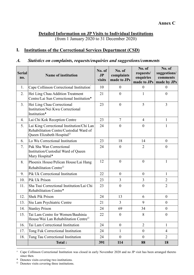**Detailed Information on JP Visits to Individual Institutions**

(from 1 January 2020 to 31 December 2020)

# **I. Institutions of the Correctional Services Department (CSD)**

#### *A. Statistics on complaints, requests/enquiries and suggestions/comments*

| <b>Serial</b><br>no. | <b>Name of institution</b>                                                                                                    | No. of<br>J <sub>P</sub><br>visits | No. of<br>complaints<br>made to JPs | No. of<br>requests/<br>enquiries<br>made to JPs | No. of<br>suggestions/<br>comments<br>made by JPs |
|----------------------|-------------------------------------------------------------------------------------------------------------------------------|------------------------------------|-------------------------------------|-------------------------------------------------|---------------------------------------------------|
| 1.                   | Cape Collinson Correctional Institution <sup>^</sup>                                                                          | 10                                 | $\boldsymbol{0}$                    | $\overline{0}$                                  | $\theta$                                          |
| 2.                   | Hei Ling Chau Addition Treatment<br>Centre/Lai Sun Correctional Institution <sup>+</sup>                                      | 21                                 | $\overline{0}$                      | $\mathbf{1}$                                    | $\overline{0}$                                    |
| 3.                   | Hei Ling Chau Correctional<br>Institution/Nei Kwu Correctional<br>Institution <sup>*</sup>                                    | 23                                 | $\theta$                            | 5                                               | 3                                                 |
| 4.                   | Lai Chi Kok Reception Centre                                                                                                  | 23                                 | $\overline{7}$                      | $\overline{4}$                                  | $\mathbf{1}$                                      |
| 5.                   | Lai King Correctional Institution/Chi Lan<br>Rehabilitation Centre/Custodial Ward of<br>Queen Elizabeth Hospital <sup>o</sup> | 24                                 | $\boldsymbol{0}$                    | $\theta$                                        | $\mathbf{1}$                                      |
| 6.                   | Lo Wu Correctional Institution                                                                                                | 23                                 | 18                                  | 14                                              | $\theta$                                          |
| 7.                   | Pak Sha Wan Correctional<br>Institution/Custodial Ward of Queen<br>Mary Hospital <sup>*</sup>                                 | 24                                 | $\boldsymbol{0}$                    | $\overline{2}$                                  | $\overline{0}$                                    |
| 8.                   | Phoenix House/Pelican House/Lai Hang                                                                                          | 12                                 | $\boldsymbol{0}$                    | $\overline{0}$                                  | $\mathbf{1}$                                      |
|                      | Rehabilitation Centre <sup>o</sup>                                                                                            |                                    |                                     |                                                 |                                                   |
| 9.                   | Pik Uk Correctional Institution                                                                                               | 22                                 | $\boldsymbol{0}$                    | $\boldsymbol{0}$                                | $\mathbf{1}$                                      |
| 10.                  | Pik Uk Prison                                                                                                                 | 23                                 | 3                                   | 3                                               | $\overline{2}$                                    |
| 11.                  | Sha Tsui Correctional Institution/Lai Chi<br>Rehabilitation Centre <sup>+</sup>                                               | 23                                 | $\boldsymbol{0}$                    | $\boldsymbol{0}$                                | $\overline{2}$                                    |
| 12.                  | <b>Shek Pik Prison</b>                                                                                                        | 24                                 | 13                                  | 6                                               | $\overline{0}$                                    |
| 13.                  | Siu Lam Psychiatric Centre                                                                                                    | 21                                 | $\overline{3}$                      | 9                                               | $\theta$                                          |
| 14.                  | <b>Stanley Prison</b>                                                                                                         | 24                                 | 69                                  | 34                                              | $\boldsymbol{0}$                                  |
| 15.                  | Tai Lam Centre for Women/Bauhinia<br>House/Wai Lan Rehabilitation Centre <sup>O</sup>                                         | 22                                 | $\boldsymbol{0}$                    | 8                                               | $\boldsymbol{0}$                                  |
| 16.                  | Tai Lam Correctional Institution                                                                                              | 24                                 | $\boldsymbol{0}$                    | $\overline{2}$                                  | $\mathbf{1}$                                      |
| 17.                  | Tong Fuk Correctional Institution                                                                                             | 24                                 | 1                                   | $\mathbf{0}$                                    | $\overline{4}$                                    |
| 18.                  | Tung Tau Correctional Institution                                                                                             | 24                                 | $\mathbf{0}$                        | $\overline{0}$                                  | $\overline{2}$                                    |
|                      | <b>Total:</b>                                                                                                                 | 391                                | 114                                 | 88                                              | 18                                                |

 $\land$  Cape Collinson Correctional Institution was closed in early November 2020 and no JP visit has been arranged thereto since then.

Denotes visits covering two institutions.

<sup>&</sup>lt;sup>o</sup> Denotes visits covering three institutions.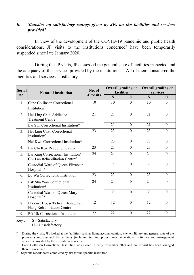#### *B. Statistics on satisfactory ratings given by JPs on the facilities and services provided\**

In view of the development of the COVID-19 pandemic and public health considerations, JP visits to the institutions concerned<sup>#</sup> have been temporarily suspended since late January 2020.

During the JP visits, JPs assessed the general state of facilities inspected and the adequacy of the services provided by the institutions. All of them considered the facilities and services satisfactory.

| <b>Serial</b> | <b>Name of institution</b>                                                                            | No. of           | <b>Overall grading on</b><br>facilities |              | <b>Overall grading on</b><br>services |                  |  |
|---------------|-------------------------------------------------------------------------------------------------------|------------------|-----------------------------------------|--------------|---------------------------------------|------------------|--|
| no.           |                                                                                                       | <b>JP</b> visits | S                                       | $\mathbf{U}$ | S                                     | U                |  |
| 1.            | Cape Collinson Correctional<br>Institution                                                            | 10               | 10                                      | $\theta$     | 10                                    | $\overline{0}$   |  |
| 2.            | Hei Ling Chau Addiction<br>Treatment Centre <sup><math>\triangle</math></sup>                         | 21               | 21                                      | $\theta$     | 21                                    | $\theta$         |  |
|               | Lai Sun Correctional Institution <sup>2</sup>                                                         |                  | 21                                      | $\theta$     | 21                                    | $\boldsymbol{0}$ |  |
| 3.            | Hei Ling Chau Correctional<br>Institution <sup><math>\triangle</math></sup>                           | 23               | 23                                      | $\theta$     | 23                                    | $\theta$         |  |
|               | Nei Kwu Correctional Institution <sup><math>\triangle</math></sup>                                    |                  | 23                                      | $\theta$     | 23                                    | $\overline{0}$   |  |
| 4.            | Lai Chi Kok Reception Centre                                                                          | 23               | 23                                      | $\theta$     | 23                                    | $\theta$         |  |
| 5.            | Lai King Correctional Institution/<br>Chi Lan Rehabilitation Centre <sup><math>\triangle</math></sup> | 24               | 24                                      | $\theta$     | 24                                    | $\theta$         |  |
|               | Custodial Ward of Queen Elizabeth<br>Hospital $\triangle$ #                                           |                  | $\overline{2}$                          | $\theta$     | $\overline{2}$                        | $\theta$         |  |
| 6.            | Lo Wu Correctional Institution                                                                        | 23               | 23                                      | $\theta$     | 23                                    | $\overline{0}$   |  |
| 7.            | Pak Sha Wan Correctional<br>Institution <sup><math>\triangle</math></sup>                             | 24               | 24                                      | $\theta$     | 24                                    | $\overline{0}$   |  |
|               | Custodial Ward of Queen Mary<br>Hospital <sup>4#</sup>                                                |                  | $\overline{2}$                          | $\theta$     | $\overline{2}$                        | $\theta$         |  |
| 8.            | Phoenix House/Pelican House/Lai<br>Hang Rehabilitation Centre                                         | 12               | 12                                      | $\theta$     | 12                                    | $\overline{0}$   |  |
| 9.            | Pik Uk Correctional Institution                                                                       | 22               | 22                                      | $\theta$     | 22                                    | $\theta$         |  |

 $Key: S - Satisfactory$ U – Unsatisfactory

During the visits, JPs looked at the facilities (such as living accommodation, kitchen, library and general state of the premises) and assessed the services (including training programmes, recreational activities and management services) provided by the institutions concerned.

<sup>^</sup> Cape Collinson Correctional Institution was closed in early November 2020 and no JP visit has been arranged thereto since then.

 $\triangle$  Separate reports were completed by JPs for the specific institution.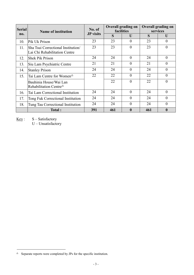| <b>Serial</b> | <b>Name of institution</b>                                                        | No. of           | <b>Overall grading on</b> | facilities   | <b>Overall grading on</b><br>services |                |
|---------------|-----------------------------------------------------------------------------------|------------------|---------------------------|--------------|---------------------------------------|----------------|
| <b>no.</b>    |                                                                                   | <b>JP</b> visits | S                         | U            | S                                     | U              |
| 10.           | Pik Uk Prison                                                                     | 23               | 23                        | $\theta$     | 23                                    | $\theta$       |
| 11.           | Sha Tsui Correctional Institution<br>Lai Chi Rehabilitation Centre                | 23               | 23                        | $\theta$     | 23                                    | $\theta$       |
| 12.           | <b>Shek Pik Prison</b>                                                            | 24               | 24                        | $\theta$     | 24                                    | $\theta$       |
| 13.           | Siu Lam Psychiatric Centre                                                        | 21               | 21                        | $\theta$     | 21                                    | $\theta$       |
| 14.           | <b>Stanley Prison</b>                                                             | 24               | 24                        | $\theta$     | 24                                    | $\theta$       |
| 15.           | Tai Lam Centre for Women <sup><math>\triangle</math></sup>                        | 22               | 22                        | $\theta$     | 22                                    | $\theta$       |
|               | Bauhinia House/Wai Lan<br>Rehabilitation Centre <sup><math>\triangle</math></sup> |                  | 22                        | $\theta$     | 22                                    | $\theta$       |
| 16.           | Tai Lam Correctional Institution                                                  | 24               | 24                        | $\theta$     | 24                                    | $\overline{0}$ |
| 17.           | Tong Fuk Correctional Institution                                                 | 24               | 24                        | $\theta$     | 24                                    | $\theta$       |
| 18.           | Tung Tau Correctional Institution                                                 | 24               | 24                        | $\theta$     | 24                                    | $\overline{0}$ |
|               | Total:                                                                            | 391              | 461                       | $\mathbf{0}$ | 461                                   | $\mathbf{0}$   |

Key : S – Satisfactory

 $\sp{\triangle}~$  Separate reports were completed by JPs for the specific institution.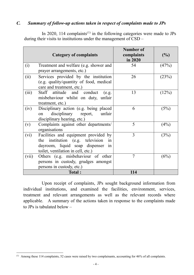#### *C. Summary of follow-up actions taken in respect of complaints made to JPs*

In 2020, [1](#page-22-0)14 complaints<sup> $(1)$ </sup> in the following categories were made to JPs during their visits to institutions under the management of CSD –

|       |                                         | Number of      |       |
|-------|-----------------------------------------|----------------|-------|
|       | <b>Category of complaints</b>           | complaints     | (%)   |
|       |                                         | in 2020        |       |
| (i)   | Treatment and welfare (e.g. shower and  | 54             | (47%) |
|       | prayer arrangements, etc.)              |                |       |
| (ii)  | Services provided by the institution    | 26             | (23%) |
|       | (e.g. quality/quantity of food, medical |                |       |
|       | care and treatment, etc.)               |                |       |
| (iii) | Staff attitude and conduct<br>(e.g.     | 13             | (12%) |
|       | misbehaviour whilst on duty, unfair     |                |       |
|       | treatment, etc.)                        |                |       |
| (iv)  | Disciplinary action (e.g. being placed  | 6              | (5%)  |
|       | disciplinary report,<br>unfair<br>on    |                |       |
|       | disciplinary hearing, etc.)             |                |       |
| (v)   | Complaints against other departments/   | 5              | (4%)  |
|       | organisations                           |                |       |
| (vi)  | Facilities and equipment provided by    | 3              | (3%)  |
|       | the institution (e.g. television<br>in  |                |       |
|       | dayroom, liquid soap dispenser<br>in    |                |       |
|       | toilet, ventilation in cell, etc.)      |                |       |
| (vii) | Others (e.g. misbehaviour of other      | $\overline{7}$ | (6%)  |
|       | persons in custody, grudges amongst     |                |       |
|       | persons in custody, etc.)               |                |       |
|       | Total:                                  | 114            |       |

Upon receipt of complaints, JPs sought background information from individual institutions, and examined the facilities, environment, services, treatment and relevant arrangements as well as the relevant records where applicable. A summary of the actions taken in response to the complaints made to JPs is tabulated below –

<span id="page-22-0"></span> <sup>(1)</sup> Among these 114 complaints, <sup>52</sup> cases were raised by two complainants, accounting for 46% of all complaints.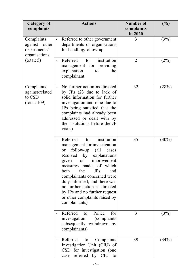| <b>Category of</b><br>complaints                                | <b>Actions</b>                                                                                                                                                                                                                                                                                                                                                                                                      | <b>Number of</b><br>complaints<br>in 2020 | (%)      |
|-----------------------------------------------------------------|---------------------------------------------------------------------------------------------------------------------------------------------------------------------------------------------------------------------------------------------------------------------------------------------------------------------------------------------------------------------------------------------------------------------|-------------------------------------------|----------|
| Complaints<br>against<br>other<br>departments/<br>organisations | Referred to other government<br>departments or organisations<br>for handling/follow-up                                                                                                                                                                                                                                                                                                                              | 3                                         | (3%)     |
| (total: 5)                                                      | Referred<br>institution<br>to<br>management for providing<br>explanation<br>the<br>to<br>complainant                                                                                                                                                                                                                                                                                                                | $\overline{2}$                            | (2%)     |
| Complaints<br>against/related<br>to CSD<br>(total: 109)         | No further action as directed<br>$\blacksquare$<br>by JPs (23 due to lack of<br>solid information for further<br>investigation and nine due to<br>JPs being satisfied that the<br>complaints had already been<br>addressed or dealt with by<br>the institutions before the JP<br>visits)                                                                                                                            | 32                                        | (28%)    |
|                                                                 | institution<br>Referred<br>to<br>management for investigation<br>follow-up<br>(all<br>cases<br><b>or</b><br>resolved<br>by<br>explanations<br>given<br>improvement<br>or<br>measures made, of which<br>both<br>the<br>JPs<br>and<br>complainants concerned were<br>duly informed; and there was<br>no further action as directed<br>by JPs and no further request<br>or other complaints raised by<br>complainants) | 35                                        | $(30\%)$ |
|                                                                 | Police<br>Referred to<br>for<br>investigation (complaints)<br>subsequently withdrawn by<br>complainants)                                                                                                                                                                                                                                                                                                            | 3                                         | (3%)     |
|                                                                 | Referred<br>Complaints<br>to<br>Investigation Unit (CIU) of<br>CSD for investigation (one<br>case referred by CIU to                                                                                                                                                                                                                                                                                                | 39                                        | (34%)    |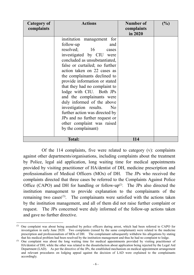| Category of<br>complaints | <b>Actions</b>                                                                                                                                                                                                                                                                                                                                                                                                                                                                                                                                                     | <b>Number of</b><br>complaints<br>in 2020 | (%) |
|---------------------------|--------------------------------------------------------------------------------------------------------------------------------------------------------------------------------------------------------------------------------------------------------------------------------------------------------------------------------------------------------------------------------------------------------------------------------------------------------------------------------------------------------------------------------------------------------------------|-------------------------------------------|-----|
|                           | institution management for<br>follow-up<br>and<br>resolved; 16<br>cases<br>investigated by CIU were<br>concluded as unsubstantiated,<br>false or curtailed; no further<br>action taken on 22 cases as<br>the complainants declined to<br>provide information or stated<br>that they had no complaint to<br>lodge with CIU. Both JPs<br>and the complainants were<br>duly informed of the above<br>investigation results.<br>N <sub>o</sub><br>further action was directed by<br>JPs and no further request or<br>other complaint was raised<br>by the complainant) |                                           |     |
|                           | <b>Total:</b>                                                                                                                                                                                                                                                                                                                                                                                                                                                                                                                                                      | 114                                       |     |

Of the 114 complaints, five were related to category (v): complaints against other departments/organisations, including complaints about the treatment by Police, legal aid application, long waiting time for medical appointments provided by visiting practitioner of HA/dentist of DH, medicine prescription and professionalism of Medical Officers (MOs) of DH. The JPs who received the complaints directed that three cases be referred to the Complaints Against Police Office (CAPO) and DH for handling or follow-up $(2)$ . The JPs also directed the institution management to provide explanation to the complainants of the remaining two cases<sup>([3\)](#page-24-0)</sup>. The complainants were satisfied with the actions taken by the institution management, and all of them did not raise further complaint or request. The JPs concerned were duly informed of the follow-up actions taken and gave no further directive.

<span id="page-24-0"></span><sup>(2)</sup> One complaint was about being assaulted by police officers during arrest, which had been referred to CAPO for investigation in early June 2020. Two complaints (raised by the same complainant) were related to the medicine prescription and professionalism of MOs of DH. The complainant subsequently withdrew his allegations by stating that his medical problem had been resolved by the institution management and thus he had no complaint to lodge.

<sup>(3)</sup> One complaint was about the long waiting time for medical appointments provided by visiting practitioner of HA/dentist of DH; while the other was related to the dissatisfaction about application being rejected by the Legal Aid Department (LAD). As per the directive of the JPs, the established mechanism on medical appointment arrangement and relevant procedures on lodging appeal against the decision of LAD were explained to the complainants accordingly.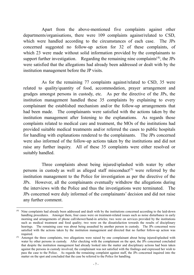Apart from the above-mentioned five complaints against other departments/organisations, there were 109 complaints against/related to CSD, which were handled according to the circumstances of each case. The JPs concerned suggested no follow-up action for 32 of these complaints, of which 23 were made without solid information provided by the complainants to support further investigation. Regarding the remaining nine complaints<sup>([4\)](#page-25-0)</sup>, the JPs were satisfied that the allegations had already been addressed or dealt with by the institution management before the JP visits.

As for the remaining 77 complaints against/related to CSD, 35 were related to quality/quantity of food, accommodation, prayer arrangement and grudges amongst persons in custody, etc. As per the directive of the JPs, the institution management handled these 35 complaints by explaining to every complainant the established mechanism and/or the follow-up arrangements that had been made. The complainants were satisfied with the actions taken by the institution management after listening to the explanations. As regards those complaints related to medical care and treatment, the MOs of the institutions had provided suitable medical treatments and/or referred the cases to public hospitals for handling with explanations rendered to the complainants. The JPs concerned were also informed of the follow-up actions taken by the institutions and did not raise any further inquiry. All of these 35 complaints were either resolved or suitably handled.

Three complaints about being injured/splashed with water by other persons in custody as well as alleged staff misconduct<sup>([5\)](#page-25-1)</sup> were referred by the institution management to the Police for investigation as per the directive of the JPs. However, all the complainants eventually withdrew the allegations during the interviews with the Police and thus the investigations were terminated. The JPs concerned were duly informed of the complainants' decision and did not raise any further comment.

<span id="page-25-0"></span> <sup>(4)</sup> Nine complaints had already been addressed and dealt with by the institutions concerned according to the laid-down handling procedures. Amongst them, four cases were on treatment-related issues such as noise disturbance in early morning and arrangements of phone call/shower/hand-in articles; two were on services provided by the institutions such as medical treatment and food quality; two were on the dissatisfaction towards the results of disciplinary hearings. The remaining case was about being assaulted by another person in custody. The JPs concerned were satisfied with the actions taken by the institution management and directed that no further follow-up action was required.

<span id="page-25-1"></span> $(5)$  Amongst the three complaints, two allegations were raised by one complainant about being injured/splashed with water by other persons in custody. After checking with the complainant on the spot, the JPs concerned concluded that despite the institution management had already looked into the matter and disciplinary actions had been taken against the persons in custody involved, the complainant was not satisfied with the findings and expressed her wish to pass the case to the Police. As regards the remaining complaint against staff, the JPs concerned inquired into the matter on the spot and concluded that the case be referred to the Police for handling.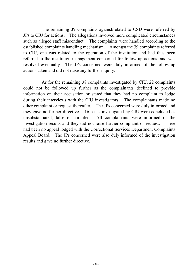The remaining 39 complaints against/related to CSD were referred by JPs to CIU for actions. The allegations involved more complicated circumstances such as alleged staff misconduct. The complaints were handled according to the established complaints handling mechanism. Amongst the 39 complaints referred to CIU, one was related to the operation of the institution and had thus been referred to the institution management concerned for follow-up actions, and was resolved eventually. The JPs concerned were duly informed of the follow-up actions taken and did not raise any further inquiry.

As for the remaining 38 complaints investigated by CIU, 22 complaints could not be followed up further as the complainants declined to provide information on their accusation or stated that they had no complaint to lodge during their interviews with the CIU investigators. The complainants made no other complaint or request thereafter. The JPs concerned were duly informed and they gave no further directive. 16 cases investigated by CIU were concluded as unsubstantiated, false or curtailed. All complainants were informed of the investigation results and they did not raise further complaint or request. There had been no appeal lodged with the Correctional Services Department Complaints Appeal Board. The JPs concerned were also duly informed of the investigation results and gave no further directive.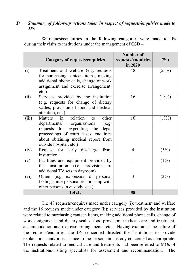#### *D. Summary of follow-up actions taken in respect of requests/enquiries made to JPs*

88 requests/enquiries in the following categories were made to JPs during their visits to institutions under the management of CSD –

|       | <b>Category of requests/enquiries</b>                                                                                                                                                                                              | Number of<br>requests/enquiries<br>in 2020 | (%)     |
|-------|------------------------------------------------------------------------------------------------------------------------------------------------------------------------------------------------------------------------------------|--------------------------------------------|---------|
| (i)   | Treatment and welfare (e.g. requests<br>for purchasing canteen items, making<br>additional phone calls, change of work<br>assignment and exercise arrangement,<br>$etc.$ )                                                         | 48                                         | (55%)   |
| (ii)  | Services provided by the institution<br>(e.g. requests for change of dietary<br>scales, provision of food and medical<br>attention, etc.)                                                                                          | 16                                         | (18%)   |
| (iii) | relation<br>in<br>other<br>Matters<br>to<br>departments/ organisations<br>(e.g.<br>requests for expediting the<br>legal<br>proceedings of court cases, enquiries<br>about obtaining medical report from<br>outside hospital, etc.) | 16                                         | (18%)   |
| (iv)  | Request for early discharge<br>from<br>institution                                                                                                                                                                                 | 4                                          | (5%)    |
| (v)   | Facilities and equipment provided by<br>institution (i.e. provision<br>the<br>of<br>additional TV sets in dayroom)                                                                                                                 |                                            | $(1\%)$ |
| (vi)  | Others (e.g. expression of personal<br>feelings, interpersonal relationship with<br>other persons in custody, etc.)                                                                                                                | 3                                          | (3%)    |
|       | <b>Total:</b>                                                                                                                                                                                                                      | 88                                         |         |

The 48 requests/enquires made under category (i): treatment and welfare and the 16 requests made under category (ii): services provided by the institution were related to purchasing canteen items, making additional phone calls, change of work assignment and dietary scales, food provision, medical care and treatment, accommodation and exercise arrangements, etc. Having examined the nature of the requests/enquiries, the JPs concerned directed the institutions to provide explanations and/or assistance to the persons in custody concerned as appropriate. The requests related to medical care and treatments had been referred to MOs of the institutions/visiting specialists for assessment and recommendation. The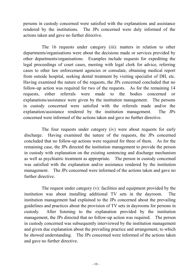persons in custody concerned were satisfied with the explanations and assistance rendered by the institutions. The JPs concerned were duly informed of the actions taken and gave no further directive.

The 16 requests under category (iii): matters in relation to other departments/organisations were about the decisions made or services provided by other departments/organisations. Examples include requests for expediting the legal proceedings of court cases, meeting with legal clerk for advice, referring cases to other law enforcement agencies or consulate, obtaining medical report from outside hospital, seeking dental treatment by visiting specialist of DH, etc. Having examined the nature of the requests, the JPs concerned concluded that no follow-up action was required for two of the requests. As for the remaining 14 requests, either referrals were made to the bodies concerned or explanations/assistance were given by the institution management. The persons in custody concerned were satisfied with the referrals made and/or the explanation/assistance rendered by the institution management. The JPs concerned were informed of the actions taken and gave no further directive.

The four requests under category (iv) were about requests for early discharge. Having examined the nature of the requests, the JPs concerned concluded that no follow-up actions were required for three of them. As for the remaining case, the JPs directed the institution management to provide the person in custody with explanation on the existing sentencing and discharge mechanism as well as psychiatric treatment as appropriate. The person in custody concerned was satisfied with the explanation and/or assistance rendered by the institution management. The JPs concerned were informed of the actions taken and gave no further directive.

The request under category (v): facilities and equipment provided by the institution was about installing additional TV sets in the dayroom. The institution management had explained to the JPs concerned about the prevailing guidelines and practices about the provision of TV sets in dayrooms for persons in custody. After listening to the explanation provided by the institution management, the JPs directed that no follow-up action was required. The person in custody concerned was subsequently interviewed by the institution management and given due explanation about the prevailing practice and arrangement, to which he showed understanding. The JPs concerned were informed of the actions taken and gave no further directive.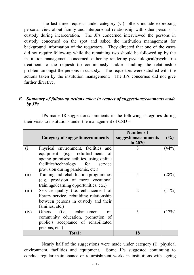The last three requests under category (vi): others include expressing personal view about family and interpersonal relationship with other persons in custody during incarceration. The JPs concerned interviewed the persons in custody concerned on the spot and asked the institution management for background information of the requestors. They directed that one of the cases did not require follow-up while the remaining two should be followed up by the institution management concerned, either by rendering psychological/psychiatric treatment to the requestor(s) continuously and/or handling the relationship problem amongst the persons in custody. The requestors were satisfied with the actions taken by the institution management. The JPs concerned did not give further directive.

#### *E. Summary of follow-up actions taken in respect of suggestions/comments made by JPs*

JPs made 18 suggestions/comments in the following categories during their visits to institutions under the management of CSD –

|       | Category of suggestions/comments          | Number of<br>suggestions/comments<br>in 2020 | (%)   |
|-------|-------------------------------------------|----------------------------------------------|-------|
| (i)   | Physical environment, facilities and      | 8                                            | (44%) |
|       | equipment (e.g. refurbishment of          |                                              |       |
|       | ageing premises/facilities, using online  |                                              |       |
|       | facilities/technology for service         |                                              |       |
|       | provision during pandemic, etc.)          |                                              |       |
| (i)   | Training and rehabilitation programmes    | 5                                            | (28%) |
|       | (e.g. provision of more vocational        |                                              |       |
|       | trainings/learning opportunities, etc.)   |                                              |       |
| (iii) | Service quality (i.e. enhancement of      | $\mathfrak{D}$                               | (11%) |
|       | library service, rebuilding relationship  |                                              |       |
|       | between persons in custody and their      |                                              |       |
|       | families, etc.)                           |                                              |       |
| (iv)  | Others (i.e. enhancement<br><sub>on</sub> | 3                                            | (17%  |
|       | community education, promotion of         |                                              |       |
|       | public's acceptance of rehabilitated      |                                              |       |
|       | persons, etc.)                            |                                              |       |
|       | <b>Total:</b>                             | 18                                           |       |

Nearly half of the suggestions were made under category (i): physical environment, facilities and equipment. Some JPs suggested continuing to conduct regular maintenance or refurbishment works in institutions with ageing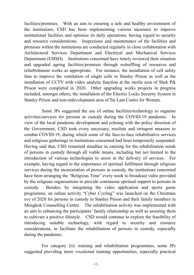facilities/premises. With an aim to ensuring a safe and healthy environment of the institutions, CSD has been implementing various measures to improve institutional facilities and optimise its daily operations, having regard to security and resource considerations. Inspections and maintenance of the facilities and premises within the institutions are conducted regularly in close collaboration with Architectural Services Department and Electrical and Mechanical Services Department (EMSD). Institutions concerned have timely reviewed their situation and upgraded ageing facilities/premises through reshuffling of resources and refurbishment works as appropriate. For instance, the installation of cell safety fans to improve the ventilation of single cells in Stanley Prison as well as the installation of CCTV with video analytic function at the sterile area of Shek Pik Prison were completed in 2020. Other upgrading works projects in progress included, amongst others, the installation of the Electric Locks Security System in Stanley Prison and non-redevelopment area of Tai Lam Centre for Women.

Some JPs suggested the use of online facilities/technology to organise activities/services for persons in custody during the COVID-19 pandemic. In view of the local pandemic development and echoing with the policy direction of the Government, CSD took every necessary, resolute and stringent measure to combat COVID-19, during which some of the face-to-face rehabilitative services and religious gatherings in institutions concerned had been temporarily suspended. Having said that, CSD remained steadfast in catering for the rehabilitation needs of persons in custody through all viable means, including but not limited to the introduction of various technologies to assist in the delivery of services. For example, having regard to the importance of spiritual fulfilment through religious services during the incarceration of persons in custody, the institutions concerned have been arranging the "Religious Time" every week to broadcast video provided by the religious organisations to provide continuous spiritual support to persons in custody. Besides, by integrating the video application and sports game programme, an online activity "Cyber Cycling" was launched on the Christmas eve of 2020 for persons in custody in Stanley Prison and their family members in Mongkok Counselling Centre. The rehabilitation activity was implemented with an aim to enhancing the participants' family relationship as well as assisting them to cultivate a positive lifestyle. CSD would continue to explore the feasibility of introducing suitable technology, with regard to security and resource considerations, to facilitate the rehabilitation of persons in custody, especially during the pandemic.

For category (ii): training and rehabilitation programmes, some JPs suggested providing more vocational training opportunities, especially practical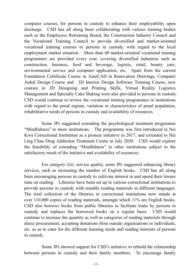computer courses, for persons in custody to enhance their employability upon discharge. CSD has all along been collaborating with various training bodies such as the Employees Retraining Board, the Construction Industry Council and the Vocational Training Council to provide diversified and market-oriented vocational training courses to persons in custody, with regard to the local employment market situation. More than 40 market-oriented vocational training programmes are provided every year, covering diversified industries such as construction, business, food and beverage, logistic, retail, beauty care, environmental service and computer application, etc. Apart from the current Foundation Certificate Course in AutoCAD in Renovation Drawings, Computer Aided Design Course and 3D Interior Design Software Training Course, new courses in 3D Designing and Printing Skills, Virtual Reality Logistics Management and Specialty Cake Making were also provided to persons in custody. CSD would continue to review the vocational training programmes in institutions with regard to the penal regime, variation in characteristics of penal population, rehabilitative needs of persons in custody and availability of resources.

Some JPs suggested extending the psychological treatment programme "Mindfulness" to more institutions. The programme was first introduced in Nei Kwu Correctional Institution as a pioneer initiative in 2017, and extended to Hei Ling Chau Drug Addiction Treatment Centre in July 2020. CSD would explore the feasibility of extending "Mindfulness" to other institutions subject to the satisfactory result of the initiative and availability of resources.

For category (iii): service quality, some JPs suggested enhancing library services, such as increasing the number of English books. CSD has all along been encouraging persons in custody to cultivate interest in and spend their leisure time on reading. Libraries have been set up in various correctional institutions to provide persons in custody with suitable reading materials in different languages. The total collection of the libraries in correctional institutions now stands at over 110,000 copies of reading materials, amongst which 11% are English books. CSD also borrows books from public libraries to facilitate loans by persons in custody and replaces the borrowed books on a regular basis. CSD would continue to increase the quantity as well as categories of reading materials through direct procurement, accepting donations from outside organisations or individuals, etc. so as to cater for the different learning needs and reading interests of persons in custody.

Some JPs showed support for CSD's initiative to rebuild the relationship between persons in custody and their family members. To encourage family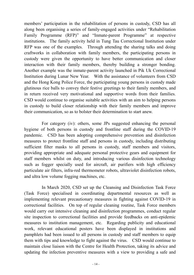members' participation in the rehabilitation of persons in custody, CSD has all along been organising a series of family-engaged activities under "Rehabilitation Family Programme (RFP)" and "Inmate-parent Programme" at respective institutions. The family activity held in Tung Tau Correctional Institution under RFP was one of the examples. Through attending the sharing talks and doing craftworks in collaboration with family members, the participating persons in custody were given the opportunity to have better communication and closer interaction with their family members, thereby building a stronger bonding. Another example was the inmate-parent activity launched in Pik Uk Correctional Institution during Lunar New Year. With the assistance of volunteers from CSD and the Hong Kong Police Force, the participating young persons in custody made glutinous rice balls to convey their festive greetings to their family members, and in return received very motivational and supportive words from their families. CSD would continue to organise suitable activities with an aim to helping persons in custody to build closer relationship with their family members and improve their communication, so as to bolster their determination to start anew.

For category (iv): others, some JPs suggested enhancing the personal hygiene of both persons in custody and frontline staff during the COVID-19 pandemic. CSD has been adopting comprehensive prevention and disinfection measures to protect frontline staff and persons in custody, including distributing sufficient filter masks to all persons in custody, staff members and visitors, providing appropriate and adequate personal protective gears and equipment for staff members whilst on duty, and introducing various disinfection technology such as fogger specially used for aircraft, air purifiers with high efficiency particulate air filters, infra-red thermometer robots, ultraviolet disinfection robots, and ultra low volume fogging machines, etc.

In March 2020, CSD set up the Cleansing and Disinfection Task Force (Task Force) specialised in coordinating departmental resources as well as implementing relevant precautionary measures in fighting against COVID-19 in correctional facilities. On top of regular cleaning routine, Task Force members would carry out intensive cleaning and disinfection programmes, conduct regular site inspection to correctional facilities and provide feedbacks on anti-epidemic measures to institution management, etc. Regarding publicity and educational work, relevant educational posters have been displayed in institutions and pamphlets had been issued to all persons in custody and staff members to equip them with tips and knowledge to fight against the virus. CSD would continue to maintain close liaison with the Centre for Health Protection, taking its advice and updating the infection preventive measures with a view to providing a safe and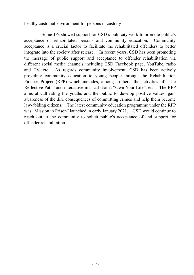healthy custodial environment for persons in custody.

Some JPs showed support for CSD's publicity work to promote public's acceptance of rehabilitated persons and community education. Community acceptance is a crucial factor to facilitate the rehabilitated offenders to better integrate into the society after release. In recent years, CSD has been promoting the message of public support and acceptance to offender rehabilitation via different social media channels including CSD Facebook page, YouTube, radio and TV, etc. As regards community involvement, CSD has been actively providing community education to young people through the Rehabilitation Pioneer Project (RPP) which includes, amongst others, the activities of "The Reflective Path" and interactive musical drama "Own Your Life", etc. The RPP aims at cultivating the youths and the public to develop positive values, gain awareness of the dire consequences of committing crimes and help them become law-abiding citizens. The latest community education programme under the RPP was "Mission in Prison" launched in early January 2021. CSD would continue to reach out to the community to solicit public's acceptance of and support for offender rehabilitation.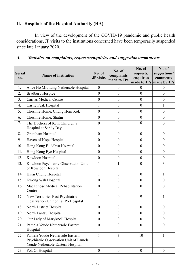## **II. Hospitals of the Hospital Authority (HA)**

In view of the development of the COVID-19 pandemic and public health considerations, JP visits to the institutions concerned have been temporarily suspended since late January 2020.

# *A. Statistics on complaints, requests/enquiries and suggestions/comments*

| <b>Serial</b><br>no. | <b>Name of institution</b>                                                                                     | No. of<br><b>JP</b> visits | No. of<br>complaints<br>made to JPs | No. of<br>requests/<br>enquiries<br>made to JPs | No. of<br>suggestions/<br>comments<br>made by JPs |
|----------------------|----------------------------------------------------------------------------------------------------------------|----------------------------|-------------------------------------|-------------------------------------------------|---------------------------------------------------|
| 1.                   | Alice Ho Miu Ling Nethersole Hospital                                                                          | $\theta$                   | $\boldsymbol{0}$                    | $\overline{0}$                                  | $\theta$                                          |
| 2.                   | <b>Bradbury Hospice</b>                                                                                        | $\theta$                   | $\boldsymbol{0}$                    | $\overline{0}$                                  | $\overline{0}$                                    |
| 3.                   | <b>Caritas Medical Centre</b>                                                                                  | $\theta$                   | $\boldsymbol{0}$                    | $\overline{0}$                                  | $\overline{0}$                                    |
| 4.                   | Castle Peak Hospital                                                                                           | 1                          | $\boldsymbol{0}$                    | $\theta$                                        | 1                                                 |
| 5.                   | Cheshire Home, Chung Hom Kok                                                                                   | $\theta$                   | $\boldsymbol{0}$                    | $\theta$                                        | $\mathbf{0}$                                      |
| 6.                   | Cheshire Home, Shatin                                                                                          | $\overline{0}$             | $\boldsymbol{0}$                    | $\mathbf{0}$                                    | $\mathbf{0}$                                      |
| 7.                   | The Duchess of Kent Children's<br>Hospital at Sandy Bay                                                        | $\boldsymbol{0}$           | $\boldsymbol{0}$                    | $\boldsymbol{0}$                                | $\mathbf{0}$                                      |
| 8.                   | Grantham Hospital                                                                                              | $\overline{0}$             | $\boldsymbol{0}$                    | $\mathbf{0}$                                    | $\mathbf{0}$                                      |
| 9.                   | Haven of Hope Hospital                                                                                         | $\overline{0}$             | $\boldsymbol{0}$                    | $\mathbf{0}$                                    | $\mathbf{0}$                                      |
| 10.                  | Hong Kong Buddhist Hospital                                                                                    | $\boldsymbol{0}$           | $\boldsymbol{0}$                    | $\boldsymbol{0}$                                | $\boldsymbol{0}$                                  |
| 11.                  | Hong Kong Eye Hospital                                                                                         | $\boldsymbol{0}$           | $\boldsymbol{0}$                    | $\theta$                                        | $\mathbf{0}$                                      |
| 12.                  | Kowloon Hospital                                                                                               | $\overline{0}$             | $\boldsymbol{0}$                    | $\mathbf{0}$                                    | $\mathbf{0}$                                      |
| 13.                  | Kowloon Psychiatric Observation Unit<br>of Kowloon Hospital                                                    | $\mathbf{1}$               | $\mathbf{1}$                        | $\overline{0}$                                  | 3                                                 |
| 14.                  | Kwai Chung Hospital                                                                                            | $\mathbf{1}$               | $\boldsymbol{0}$                    | $\boldsymbol{0}$                                | $\mathbf{1}$                                      |
| 15.                  | Kwong Wah Hospital                                                                                             | $\overline{0}$             | $\boldsymbol{0}$                    | $\mathbf{0}$                                    | $\mathbf{0}$                                      |
| 16.                  | MacLehose Medical Rehabilitation<br>Centre                                                                     | $\overline{0}$             | $\boldsymbol{0}$                    | $\mathbf{0}$                                    | $\overline{0}$                                    |
| 17.                  | New Territories East Psychiatric<br>Observation Unit of Tai Po Hospital                                        | 1                          | $\overline{0}$                      | 9                                               | $\mathbf{1}$                                      |
| 18.                  | North District Hospital                                                                                        | $\boldsymbol{0}$           | $\boldsymbol{0}$                    | $\boldsymbol{0}$                                | $\boldsymbol{0}$                                  |
| 19.                  | North Lantau Hospital                                                                                          | $\theta$                   | $\boldsymbol{0}$                    | 0                                               | $\overline{0}$                                    |
| 20.                  | Our Lady of Maryknoll Hospital                                                                                 | $\theta$                   | $\boldsymbol{0}$                    | $\boldsymbol{0}$                                | $\mathbf{0}$                                      |
| 21.                  | Pamela Youde Nethersole Eastern<br>Hospital                                                                    | $\mathbf{0}$               | $\boldsymbol{0}$                    | $\theta$                                        | $\overline{0}$                                    |
| 22.                  | Pamela Youde Nethersole Eastern<br>Psychiatric Observation Unit of Pamela<br>Youde Nethersole Eastern Hospital | $\mathbf{1}$               | 3                                   | 10                                              | 1                                                 |
| 23.                  | Pok Oi Hospital                                                                                                | $\boldsymbol{0}$           | $\boldsymbol{0}$                    | $\boldsymbol{0}$                                | $\mathbf{0}$                                      |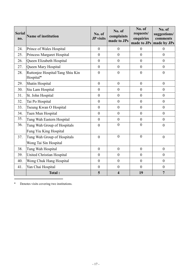| <b>Serial</b><br>no. | <b>Name of institution</b>                                | No. of<br><b>JP</b> visits | No. of<br>complaints<br>made to JPs | No. of<br>requests/<br>enquiries<br>made to JPs | No. of<br>suggestions/<br>comments<br>made by JPs |
|----------------------|-----------------------------------------------------------|----------------------------|-------------------------------------|-------------------------------------------------|---------------------------------------------------|
| 24.                  | Prince of Wales Hospital                                  | $\overline{0}$             | $\overline{0}$                      | $\theta$                                        | $\theta$                                          |
| 25.                  | Princess Margaret Hospital                                | $\theta$                   | $\overline{0}$                      | $\theta$                                        | $\theta$                                          |
| 26.                  | Queen Elizabeth Hospital                                  | $\boldsymbol{0}$           | $\boldsymbol{0}$                    | $\boldsymbol{0}$                                | $\boldsymbol{0}$                                  |
| 27.                  | Queen Mary Hospital                                       | $\boldsymbol{0}$           | $\boldsymbol{0}$                    | $\boldsymbol{0}$                                | $\boldsymbol{0}$                                  |
| 28.                  | Ruttonjee Hospital/Tang Shiu Kin<br>Hospital <sup>*</sup> | $\boldsymbol{0}$           | $\boldsymbol{0}$                    | $\boldsymbol{0}$                                | $\boldsymbol{0}$                                  |
| 29.                  | Shatin Hospital                                           | $\overline{0}$             | $\boldsymbol{0}$                    | $\overline{0}$                                  | $\overline{0}$                                    |
| 30.                  | Siu Lam Hospital                                          | $\overline{0}$             | $\boldsymbol{0}$                    | $\overline{0}$                                  | $\overline{0}$                                    |
| 31.                  | St. John Hospital                                         | $\mathbf{0}$               | $\theta$                            | $\theta$                                        | $\mathbf{0}$                                      |
| 32.                  | Tai Po Hospital                                           | $\theta$                   | $\theta$                            | $\mathbf{0}$                                    | $\mathbf{0}$                                      |
| 33.                  | Tseung Kwan O Hospital                                    | $\theta$                   | $\overline{0}$                      | $\theta$                                        | $\theta$                                          |
| 34.                  | Tuen Mun Hospital                                         | $\mathbf{0}$               | $\boldsymbol{0}$                    | $\mathbf{0}$                                    | $\mathbf{0}$                                      |
| 35.                  | Tung Wah Eastern Hospital                                 | $\theta$                   | $\boldsymbol{0}$                    | $\theta$                                        | $\overline{0}$                                    |
| 36.                  | Tung Wah Group of Hospitals                               | $\overline{0}$             | $\overline{0}$                      | $\theta$                                        | $\boldsymbol{0}$                                  |
|                      | Fung Yiu King Hospital                                    |                            |                                     |                                                 |                                                   |
| 37.                  | Tung Wah Group of Hospitals                               | $\mathbf{0}$               | $\overline{0}$                      | $\mathbf{0}$                                    | $\boldsymbol{0}$                                  |
|                      | Wong Tai Sin Hospital                                     |                            |                                     |                                                 |                                                   |
| 38.                  | Tung Wah Hospital                                         | $\theta$                   | $\overline{0}$                      | $\overline{0}$                                  | $\overline{0}$                                    |
| 39.                  | <b>United Christian Hospital</b>                          | $\boldsymbol{0}$           | $\boldsymbol{0}$                    | $\boldsymbol{0}$                                | $\boldsymbol{0}$                                  |
| 40.                  | Wong Chuk Hang Hospital                                   | $\boldsymbol{0}$           | $\boldsymbol{0}$                    | $\boldsymbol{0}$                                | $\boldsymbol{0}$                                  |
| 41.                  | Yan Chai Hospital                                         | $\boldsymbol{0}$           | $\boldsymbol{0}$                    | $\overline{0}$                                  | $\boldsymbol{0}$                                  |
|                      | Total:                                                    | 5                          | $\overline{\mathbf{4}}$             | 19                                              | $\overline{7}$                                    |

♦ Denotes visits covering two institutions.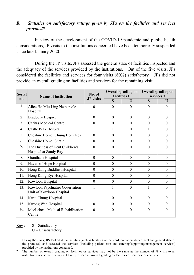## *B. Statistics on satisfactory ratings given by JPs on the facilities and services provided\**

In view of the development of the COVID-19 pandemic and public health considerations, JP visits to the institutions concerned have been temporarily suspended since late January 2020.

During the JP visits, JPs assessed the general state of facilities inspected and the adequacy of the services provided by the institutions. Out of the five visits, JPs considered the facilities and services for four visits (80%) satisfactory. JPs did not provide an overall grading on facilities and services for the remaining visit.

| <b>Serial</b> | Name of institution                                         | No. of           | <b>Overall grading on</b><br>facilities $+$ |                | <b>Overall grading on</b><br>services + |                |
|---------------|-------------------------------------------------------------|------------------|---------------------------------------------|----------------|-----------------------------------------|----------------|
| no.           |                                                             | <b>JP</b> visits | $\overline{\mathbf{S}}$                     | $\overline{U}$ | S                                       | $\mathbf{U}$   |
| 1.            | Alice Ho Miu Ling Nethersole<br>Hospital                    | $\overline{0}$   | $\overline{0}$                              | $\theta$       | $\theta$                                | $\theta$       |
| 2.            | <b>Bradbury Hospice</b>                                     | $\overline{0}$   | $\theta$                                    | $\theta$       | $\overline{0}$                          | $\theta$       |
| 3.            | <b>Caritas Medical Centre</b>                               | $\boldsymbol{0}$ | $\theta$                                    | $\theta$       | $\overline{0}$                          | $\theta$       |
| 4.            | Castle Peak Hospital                                        | 1                |                                             | $\theta$       | 1                                       | $\theta$       |
| 5.            | Cheshire Home, Chung Hom Kok                                | $\overline{0}$   | $\theta$                                    | $\mathbf{0}$   | $\theta$                                | $\theta$       |
| 6.            | Cheshire Home, Shatin                                       | $\overline{0}$   | $\theta$                                    | $\theta$       | $\theta$                                | $\theta$       |
| 7.            | The Duchess of Kent Children's<br>Hospital at Sandy Bay     | $\overline{0}$   | $\theta$                                    | $\theta$       | $\theta$                                | $\overline{0}$ |
| 8.            | Grantham Hospital                                           | $\mathbf{0}$     | $\theta$                                    | $\mathbf{0}$   | $\overline{0}$                          | $\overline{0}$ |
| 9.            | Haven of Hope Hospital                                      | $\overline{0}$   | $\theta$                                    | $\theta$       | $\theta$                                | $\theta$       |
| 10.           | Hong Kong Buddhist Hospital                                 | $\overline{0}$   | $\theta$                                    | $\theta$       | $\overline{0}$                          | $\theta$       |
| 11.           | Hong Kong Eye Hospital                                      | $\theta$         | $\theta$                                    | $\theta$       | $\theta$                                | $\theta$       |
| 12.           | Kowloon Hospital                                            | $\boldsymbol{0}$ | $\mathbf{0}$                                | $\mathbf{0}$   | $\overline{0}$                          | $\theta$       |
| 13.           | Kowloon Psychiatric Observation<br>Unit of Kowloon Hospital | $\mathbf{1}$     | 1                                           | $\theta$       | 1                                       | $\theta$       |
| 14.           | Kwai Chung Hospital                                         | $\mathbf{1}$     | $\theta$                                    | $\theta$       | $\overline{0}$                          | $\theta$       |
| 15.           | Kwong Wah Hospital                                          | $\overline{0}$   | $\theta$                                    | $\theta$       | $\theta$                                | $\theta$       |
| 16.           | MacLehose Medical Rehabilitation<br>Centre                  | $\theta$         | $\theta$                                    | $\theta$       | $\theta$                                | $\theta$       |

 $Key: S - Satisfactory$ 

During the visits, JPs looked at the facilities (such as facilities of the ward, outpatient department and general state of the premises) and assessed the services (including patient care and catering/supporting/management services) provided by the institutions concerned.

The number of overall grading on facilities or services may not be the same as the number of JP visits to an institution since some JPs may not have provided an overall grading on facilities or services for each visit.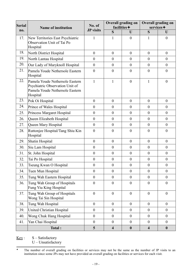| Serial | <b>Name of institution</b>                                                                                        | No. of           | <b>Overall grading on</b><br>facilities $+$ |                  | <b>Overall grading on</b><br>services + |                  |
|--------|-------------------------------------------------------------------------------------------------------------------|------------------|---------------------------------------------|------------------|-----------------------------------------|------------------|
| no.    |                                                                                                                   | <b>JP</b> visits | S                                           | U                | S                                       | U                |
| 17.    | New Territories East Psychiatric<br>Observation Unit of Tai Po<br>Hospital                                        | 1                | 1                                           | $\overline{0}$   | 1                                       | $\boldsymbol{0}$ |
| 18.    | North District Hospital                                                                                           | $\boldsymbol{0}$ | $\overline{0}$                              | $\mathbf{0}$     | $\boldsymbol{0}$                        | $\boldsymbol{0}$ |
| 19.    | North Lantau Hospital                                                                                             | $\boldsymbol{0}$ | $\overline{0}$                              | $\mathbf{0}$     | $\boldsymbol{0}$                        | $\boldsymbol{0}$ |
| 20.    | Our Lady of Maryknoll Hospital                                                                                    | $\boldsymbol{0}$ | $\boldsymbol{0}$                            | $\mathbf{0}$     | $\boldsymbol{0}$                        | $\boldsymbol{0}$ |
| 21.    | Pamela Youde Nethersole Eastern<br>Hospital                                                                       | $\boldsymbol{0}$ | $\mathbf{0}$                                | $\overline{0}$   | $\boldsymbol{0}$                        | $\boldsymbol{0}$ |
| 22.    | Pamela Youde Nethersole Eastern<br>Psychiatric Observation Unit of<br>Pamela Youde Nethersole Eastern<br>Hospital | $\mathbf{1}$     | 1                                           | $\overline{0}$   | $\mathbf{1}$                            | $\overline{0}$   |
| 23.    | Pok Oi Hospital                                                                                                   | $\boldsymbol{0}$ | $\overline{0}$                              | $\theta$         | $\boldsymbol{0}$                        | $\boldsymbol{0}$ |
| 24.    | Prince of Wales Hospital                                                                                          | $\boldsymbol{0}$ | $\overline{0}$                              | $\theta$         | $\overline{0}$                          | $\boldsymbol{0}$ |
| 25.    | Princess Margaret Hospital                                                                                        | $\boldsymbol{0}$ | $\overline{0}$                              | $\overline{0}$   | $\boldsymbol{0}$                        | $\boldsymbol{0}$ |
| 26.    | Queen Elizabeth Hospital                                                                                          | $\boldsymbol{0}$ | $\overline{0}$                              | $\overline{0}$   | $\overline{0}$                          | $\overline{0}$   |
| 27.    | Queen Mary Hospital                                                                                               | $\boldsymbol{0}$ | $\boldsymbol{0}$                            | $\mathbf{0}$     | $\boldsymbol{0}$                        | $\boldsymbol{0}$ |
| 28.    | Ruttonjee Hospital/Tang Shiu Kin<br>Hospital                                                                      | $\overline{0}$   | $\overline{0}$                              | $\overline{0}$   | $\theta$                                | $\overline{0}$   |
| 29.    | Shatin Hospital                                                                                                   | $\boldsymbol{0}$ | $\boldsymbol{0}$                            | $\mathbf{0}$     | $\boldsymbol{0}$                        | $\boldsymbol{0}$ |
| 30.    | Siu Lam Hospital                                                                                                  | $\boldsymbol{0}$ | $\boldsymbol{0}$                            | $\overline{0}$   | $\boldsymbol{0}$                        | $\boldsymbol{0}$ |
| 31.    | St. John Hospital                                                                                                 | $\boldsymbol{0}$ | $\boldsymbol{0}$                            | $\mathbf{0}$     | $\boldsymbol{0}$                        | $\boldsymbol{0}$ |
| 32.    | Tai Po Hospital                                                                                                   | $\boldsymbol{0}$ | $\boldsymbol{0}$                            | $\boldsymbol{0}$ | $\boldsymbol{0}$                        | $\boldsymbol{0}$ |
| 33.    | Tseung Kwan O Hospital                                                                                            | $\boldsymbol{0}$ | $\boldsymbol{0}$                            | $\boldsymbol{0}$ | $\boldsymbol{0}$                        | $\boldsymbol{0}$ |
| 34.    | Tuen Mun Hospital                                                                                                 | $\boldsymbol{0}$ | $\boldsymbol{0}$                            | $\overline{0}$   | $\boldsymbol{0}$                        | $\boldsymbol{0}$ |
| 35.    | Tung Wah Eastern Hospital                                                                                         | $\boldsymbol{0}$ | $\boldsymbol{0}$                            | $\boldsymbol{0}$ | $\boldsymbol{0}$                        | $\boldsymbol{0}$ |
| 36.    | Tung Wah Group of Hospitals<br>Fung Yiu King Hospital                                                             | $\boldsymbol{0}$ | $\boldsymbol{0}$                            | $\boldsymbol{0}$ | $\boldsymbol{0}$                        | $\boldsymbol{0}$ |
| 37.    | Tung Wah Group of Hospitals<br>Wong Tai Sin Hospital                                                              | $\boldsymbol{0}$ | $\boldsymbol{0}$                            | $\boldsymbol{0}$ | $\boldsymbol{0}$                        | $\boldsymbol{0}$ |
| 38.    | Tung Wah Hospital                                                                                                 | $\boldsymbol{0}$ | $\boldsymbol{0}$                            | $\boldsymbol{0}$ | $\mathbf{0}$                            | $\boldsymbol{0}$ |
| 39.    | United Christian Hospital                                                                                         | $\boldsymbol{0}$ | $\boldsymbol{0}$                            | $\boldsymbol{0}$ | $\boldsymbol{0}$                        | $\boldsymbol{0}$ |
| 40.    | Wong Chuk Hang Hospital                                                                                           | $\boldsymbol{0}$ | $\boldsymbol{0}$                            | $\boldsymbol{0}$ | $\boldsymbol{0}$                        | $\boldsymbol{0}$ |
| 41.    | Yan Chai Hospital                                                                                                 | $\boldsymbol{0}$ | $\boldsymbol{0}$                            | $\boldsymbol{0}$ | $\boldsymbol{0}$                        | $\boldsymbol{0}$ |
|        | Total:                                                                                                            | $5\overline{)}$  | $\overline{\mathbf{4}}$                     | $\boldsymbol{0}$ | $\overline{\mathbf{4}}$                 | $\boldsymbol{0}$ |

 $Key: S - Satisfactory$ 

The number of overall grading on facilities or services may not be the same as the number of JP visits to an institution since some JPs may not have provided an overall grading on facilities or services for each visit.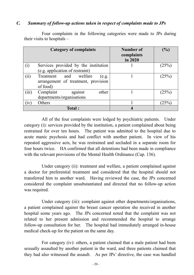#### *C. Summary of follow-up actions taken in respect of complaints made to JPs*

|       | <b>Category of complaints</b>                                               | Number of<br>complaints<br>in 2020 | (%)      |
|-------|-----------------------------------------------------------------------------|------------------------------------|----------|
| (i)   | Services provided by the institution                                        |                                    | (25%)    |
|       | (e.g. application of restraint)                                             |                                    |          |
| (ii)  | welfare<br>and<br>Treatment<br>(e.g.<br>arrangement of treatment, provision |                                    | (25%)    |
|       | of food)                                                                    |                                    |          |
| (iii) | Complaint<br>other<br>against<br>departments/organisations                  |                                    | $(25\%)$ |
| (1V)  | Others                                                                      |                                    | $(25\%)$ |
|       | Total:                                                                      |                                    |          |

Four complaints in the following categories were made to JPs during their visits to hospitals –

All of the four complaints were lodged by psychiatric patients. Under category (i): services provided by the institution, a patient complained about being restrained for over ten hours. The patient was admitted to the hospital due to acute manic psychosis and had conflict with another patient. In view of his repeated aggressive acts, he was restrained and secluded in a separate room for four hours twice. HA confirmed that all detentions had been made in compliance with the relevant provisions of the Mental Health Ordinance (Cap. 136).

Under category (ii): treatment and welfare, a patient complained against a doctor for preferential treatment and considered that the hospital should not transferred him to another ward. Having reviewed the case, the JPs concerned considered the complaint unsubstantiated and directed that no follow-up action was required.

Under category (iii): complaint against other departments/organisations, a patient complained against the breast cancer operation she received in another hospital some years ago. The JPs concerned noted that the complaint was not related to her present admission and recommended the hospital to arrange follow-up consultation for her. The hospital had immediately arranged in-house medical check-up for the patient on the same day.

For category (iv): others, a patient claimed that a male patient had been sexually assaulted by another patient in the ward, and three patients claimed that they had also witnessed the assault. As per JPs' directive, the case was handled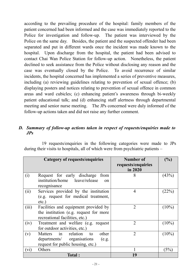according to the prevailing procedure of the hospital: family members of the patient concerned had been informed and the case was immediately reported to the Police for investigation and follow-up. The patient was interviewed by the Police on the same day. Besides, the patient and the suspected offender had been separated and put in different wards once the incident was made known to the hospital. Upon discharge from the hospital, the patient had been advised to contact Chai Wan Police Station for follow-up action. Nonetheless, the patient declined to seek assistance from the Police without disclosing any reason and the case was eventually closed by the Police. To avoid recurrence of similar incidents, the hospital concerned has implemented a series of preventive measures, including (a) reviewing guidelines relating to prevention of sexual offence; (b) displaying posters and notices relating to prevention of sexual offence in common areas and ward cubicles; (c) enhancing patient's awareness through bi-weekly patient educational talk; and (d) enhancing staff alertness through departmental meeting and senior nurse meeting. The JPs concerned were duly informed of the follow-up actions taken and did not raise any further comment.

#### *D. Summary of follow-up actions taken in respect of requests/enquiries made to JPs*

19 requests/enquiries in the following categories were made to JPs during their visits to hospitals, all of which were from psychiatric patients –

|                             | <b>Category of requests/enquiries</b>    | <b>Number of</b><br>requests/enquiries<br>in 2020 | $(\%)$   |
|-----------------------------|------------------------------------------|---------------------------------------------------|----------|
|                             |                                          |                                                   |          |
| (i)                         | Request for early discharge<br>from      | 8                                                 | (43%)    |
|                             | institution/home leave/release<br>on     |                                                   |          |
|                             | recognisance                             |                                                   |          |
| (i)                         | Services provided by the institution     | $\overline{4}$                                    | (22%)    |
|                             | (e.g. request for medical treatment,     |                                                   |          |
|                             | etc.)                                    |                                                   |          |
| (iii)                       | Facilities and equipment provided by     | $\overline{2}$                                    | $(10\%)$ |
|                             | the institution (e.g. request for more   |                                                   |          |
|                             | recreational facilities, etc.)           |                                                   |          |
| (iv)                        | Treatment and welfare (e.g. request      | $\overline{2}$                                    | $(10\%)$ |
|                             | for outdoor activities, etc.)            |                                                   |          |
| (v)                         | in<br>relation<br>Matters<br>other<br>to | $\overline{2}$                                    | $(10\%)$ |
|                             | departments/ organisations<br>(e.g.      |                                                   |          |
|                             | request for public housing, etc.)        |                                                   |          |
| $\left(\mathrm{v}_1\right)$ | Others                                   |                                                   | $(5\%)$  |
|                             | <b>Total:</b>                            | 19                                                |          |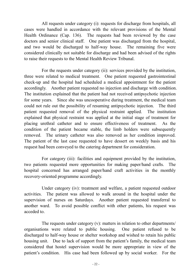All requests under category (i): requests for discharge from hospitals, all cases were handled in accordance with the relevant provisions of the Mental Health Ordinance (Cap. 136). The requests had been reviewed by the case doctors and senior clinical staff. One patient was discharged from the hospital, and two would be discharged to half-way house. The remaining five were considered clinically not suitable for discharge and had been advised of the rights to raise their requests to the Mental Health Review Tribunal.

For the requests under category (ii): services provided by the institution, three were related to medical treatment. One patient requested gastrointestinal check-up and the hospital had scheduled a medical appointment for the patient accordingly. Another patient requested no injection and discharge with condition. The institution explained that the patient had not received antipsychotic injection for some years. Since she was uncooperative during treatment, the medical team could not rule out the possibility of resuming antipsychotic injection. The third patient requested removal of the physical restraint applied. The institution explained that physical restraint was applied at the initial stage of treatment for placing urethral catheter and to ensure effectiveness of treatment. As the condition of the patient became stable, the limb holders were subsequently removed. The urinary catheter was also removed as her condition improved. The patient of the last case requested to have dessert on weekly basis and his request had been conveyed to the catering department for consideration.

For category (iii): facilities and equipment provided by the institution, two patients requested more opportunities for making paper/hand crafts. The hospital concerned has arranged paper/hand craft activities in the monthly recovery-oriented programme accordingly.

Under category (iv): treatment and welfare, a patient requested outdoor activities. The patient was allowed to walk around in the hospital under the supervision of nurses on Saturdays. Another patient requested transferral to another ward. To avoid possible conflict with other patients, his request was acceded to.

The requests under category (v): matters in relation to other departments/ organisations were related to public housing. One patient refused to be discharged to half-way house or shelter workshop and wished to retain his public housing unit. Due to lack of support from the patient's family, the medical team considered that hostel supervision would be more appropriate in view of the patient's condition. His case had been followed up by social worker. For the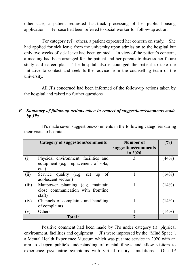other case, a patient requested fast-track processing of her public housing application. Her case had been referred to social worker for follow-up action.

For category (vi): others, a patient expressed her concern on study. She had applied for sick leave from the university upon admission to the hospital but only two weeks of sick leave had been granted. In view of the patient's concern, a meeting had been arranged for the patient and her parents to discuss her future study and career plan. The hospital also encouraged the patient to take the initiative to contact and seek further advice from the counselling team of the university.

All JPs concerned had been informed of the follow-up actions taken by the hospital and raised no further questions.

#### *E. Summary of follow-up actions taken in respect of suggestions/comments made by JPs*

|               | <b>Category of suggestions/comments</b>                                                  | Number of<br>suggestions/comments<br>in 2020 | (%)   |
|---------------|------------------------------------------------------------------------------------------|----------------------------------------------|-------|
| (i)           | Physical environment, facilities and<br>equipment (e.g. replacement of sofa,<br>$etc.$ ) | 3                                            | (44%) |
| (i)           | Service quality (e.g. set up<br>of<br>adolescent section)                                |                                              | (14%) |
| (iii)         | Manpower planning (e.g. maintain<br>close communication with frontline<br>staff)         |                                              | (14%) |
| (iv)          | Channels of complaints and handling<br>of complaints                                     |                                              | (14%) |
| $\mathbf{v})$ | Others                                                                                   |                                              | (14%) |
|               | Total:                                                                                   | 7                                            |       |

JPs made seven suggestions/comments in the following categories during their visits to hospitals –

Positive comment had been made by JPs under category (i): physical environment, facilities and equipment. JPs were impressed by the "Mind Space", a Mental Health Experience Museum which was put into service in 2020 with an aim to deepen public's understanding of mental illness and allow visitors to experience psychiatric symptoms with virtual reality simulations. One JP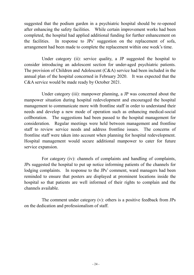suggested that the podium garden in a psychiatric hospital should be re-opened after enhancing the safety facilities. While certain improvement works had been completed, the hospital had applied additional funding for further enhancement on the facilities. In response to JPs' suggestion on the replacement of sofa, arrangement had been made to complete the replacement within one week's time.

Under category (ii): service quality, a JP suggested the hospital to consider introducing an adolescent section for under-aged psychiatric patients. The provision of Children and Adolescent (C&A) service had been included in the annual plan of the hospital concerned in February 2020. It was expected that the C&A service would be made ready by October 2021.

Under category (iii): manpower planning, a JP was concerned about the manpower situation during hospital redevelopment and encouraged the hospital management to communicate more with frontline staff in order to understand their needs and develop a new mode of operation such as enhancing medical-social collboration. The suggestions had been passed to the hospital management for consideration. Regular meetings were held between management and frontline staff to review service needs and address frontline issues. The concerns of frontline staff were taken into account when planning for hospital redevelopment. Hospital management would secure additional manpower to cater for future service expansion.

For category (iv): channels of complaints and handling of complaints, JPs suggested the hospital to put up notice informing patients of the channels for lodging complaints. In response to the JPs' comment, ward managers had been reminded to ensure that posters are displayed at prominent locations inside the hospital so that patients are well informed of their rights to complain and the channels available.

The comment under category (v): others is a positive feedback from JPs on the dedication and professionalism of staff.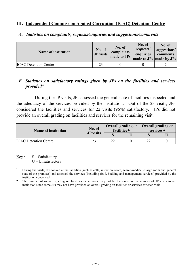#### **III. Independent Commission Against Corruption (ICAC) Detention Centre**

| <b>Name of institution</b>   | No. of<br>JP visits | No. of<br>complaints<br>made to JPs | No. of<br>requests/<br>enquiries | No. of<br>suggestions/<br>comments<br>made to JPs   made by JPs |
|------------------------------|---------------------|-------------------------------------|----------------------------------|-----------------------------------------------------------------|
| <b>ICAC</b> Detention Centre | 23                  |                                     |                                  |                                                                 |

#### *A. Statistics on complaints, requests/enquiries and suggestions/comments*

#### *B. Statistics on satisfactory ratings given by JPs on the facilities and services provided\**

During the JP visits, JPs assessed the general state of facilities inspected and the adequacy of the services provided by the institution. Out of the 23 visits, JPs considered the facilities and services for 22 visits (96%) satisfactory. JPs did not provide an overall grading on facilities and services for the remaining visit.

| <b>Name of institution</b>   | No. of<br><b>JP</b> visits | Overall grading on   Overall grading on<br>facilities $+$ |  | services $\bigstar$ |  |
|------------------------------|----------------------------|-----------------------------------------------------------|--|---------------------|--|
|                              |                            |                                                           |  |                     |  |
| <b>ICAC</b> Detention Centre | 23                         | າາ                                                        |  |                     |  |

 $Key: S - Satisfactory$ U – Unsatisfactory

**<sup>\*</sup>** During the visits, JPs looked at the facilities (such as cells, interview room, search/medical/charge room and general state of the premises) and assessed the services (including food, bedding and management services) provided by the institution concerned.

The number of overall grading on facilities or services may not be the same as the number of JP visits to an institution since some JPs may not have provided an overall grading on facilities or services for each visit.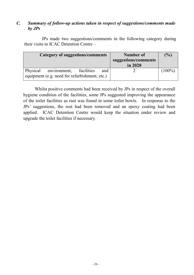#### *C. Summary of follow-up actions taken in respect of suggestions/comments made by JPs*

JPs made two suggestions/comments in the following category during their visits to ICAC Detention Centre –

| Category of suggestions/comments              | <b>Number of</b><br>suggestions/comments<br>in 2020 | (%)       |
|-----------------------------------------------|-----------------------------------------------------|-----------|
|                                               |                                                     |           |
| Physical environment,<br>facilities<br>and    |                                                     | $(100\%)$ |
| equipment (e.g. need for refurbishment, etc.) |                                                     |           |

Whilst positive comments had been received by JPs in respect of the overall hygiene condition of the facilities, some JPs suggested improving the appearance of the toilet facilities as rust was found in some toilet bowls. In response to the JPs' suggestions, the rust had been removed and an epoxy coating had been applied. ICAC Detention Centre would keep the situation under review and upgrade the toilet facilities if necessary.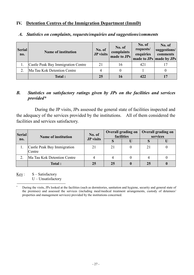#### **IV. Detention Centres of the Immigration Department (ImmD)**

| <b>Serial</b><br>no. | <b>Name of institution</b>         | No. of<br>JP visits | No. of<br>complaints<br>made to JPs | No. of<br>requests/<br>enquiries | No. of<br>suggestions/<br>comments<br>made to JPs made by JPs |
|----------------------|------------------------------------|---------------------|-------------------------------------|----------------------------------|---------------------------------------------------------------|
|                      | Castle Peak Bay Immigration Centre | 21                  | 16                                  | 421                              |                                                               |
|                      | Ma Tau Kok Detention Centre        |                     |                                     |                                  |                                                               |
|                      | Total:                             | 25                  | 16                                  | 422                              |                                                               |

#### *A. Statistics on complaints, requests/enquiries and suggestions/comments*

#### *B. Statistics on satisfactory ratings given by JPs on the facilities and services provided\**

During the JP visits, JPs assessed the general state of facilities inspected and the adequacy of the services provided by the institutions. All of them considered the facilities and services satisfactory.

| <b>Serial</b> | <b>Name of institution</b>            | No. of<br>JP visits | <b>Overall grading on</b><br>facilities | <b>Overall grading on</b><br>services |  |
|---------------|---------------------------------------|---------------------|-----------------------------------------|---------------------------------------|--|
| no.           |                                       |                     |                                         |                                       |  |
|               | Castle Peak Bay Immigration<br>Centre | 21                  | 21                                      | 21                                    |  |
|               | Ma Tau Kok Detention Centre           |                     |                                         |                                       |  |
|               | Total:                                | 25                  | 25                                      | 25                                    |  |

 $Key: S - Satisfactory$ U – Unsatisfactory

During the visits, JPs looked at the facilities (such as dormitories, sanitation and hygiene, security and general state of the premises) and assessed the services (including meal/medical treatment arrangements, custody of detainees' properties and management services) provided by the institutions concerned.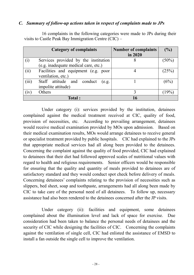#### *C. Summary of follow-up actions taken in respect of complaints made to JPs*

16 complaints in the following categories were made to JPs during their visits to Castle Peak Bay Immigration Centre (CIC) –

|       | <b>Category of complaints</b>          | <b>Number of complaints</b> | (%)      |
|-------|----------------------------------------|-----------------------------|----------|
|       |                                        | in 2020                     |          |
| (i)   | Services provided by the institution   | 8                           | $(50\%)$ |
|       | (e.g. inadequate medical care, etc.)   |                             |          |
| (ii)  | Facilities and equipment (e.g. poor    |                             | (25%)    |
|       | ventilation, etc.)                     |                             |          |
| (iii) | Staff attitude and<br>conduct<br>(e.g. |                             | (6%      |
|       | impolite attitude)                     |                             |          |
| (iv)  | Others                                 |                             | 19%      |
|       | <b>Total:</b>                          |                             |          |

Under category (i): services provided by the institution, detainees complained against the medical treatment received at CIC, quality of food, provision of necessities, etc. According to prevailing arrangement, detainees would receive medical examination provided by MOs upon admission. Based on their medical examination results, MOs would arrange detainees to receive general or specialist treatment provided by public hospitals. CIC had explained to the JPs that appropriate medical services had all along been provided to the detainees. Concerning the complaint against the quality of food provided, CIC had explained to detainees that their diet had followed approved scales of nutritional values with regard to health and religious requirements. Senior officers would be responsible for ensuring that the quality and quantity of meals provided to detainees are of satisfactory standard and they would conduct spot check before delivery of meals. Concerning detainees' complaints relating to the provision of necessities such as slippers, bed sheet, soap and toothpaste, arrangements had all along been made by CIC to take care of the personal need of all detainees. To follow up, necessary assistance had also been rendered to the detainees concerned after the JP visits.

Under category (ii): facilities and equipment, some detainees complained about the illumination level and lack of space for exercise. Due consideration had been taken to balance the personal needs of detainees and the security of CIC while designing the facilities of CIC. Concerning the complaints against the ventilation of single cell, CIC had enlisted the assistance of EMSD to install a fan outside the single cell to improve the ventilation.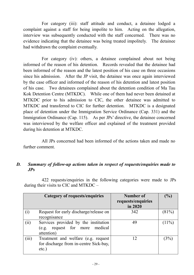For category (iii): staff attitude and conduct, a detainee lodged a complaint against a staff for being impolite to him. Acting on the allegation, interview was subsequently conducted with the staff concerned. There was no evidence indicating that the detainee was being treated impolitely. The detainee had withdrawn the complaint eventually.

For category (iv): others, a detainee complained about not being informed of the reason of his detention. Records revealed that the detainee had been informed of the reason and the latest position of his case on three occasions since his admission. After the JP visit, the detainee was once again interviewed by the case officer and informed of the reason of his detention and latest position of his case. Two detainees complained about the detention condition of Ma Tau Kok Detention Centre (MTKDC). While one of them had never been detained at MTKDC prior to his admission to CIC, the other detainee was admitted to MTKDC and transferred to CIC for further detention. MTKDC is a designated place of detention under the Immigration Service Ordinance (Cap. 331) and the Immigration Ordinance (Cap. 115). As per JPs' directive, the detainee concerned was interviewed by the welfare officer and explained of the treatment provided during his detention at MTKDC.

All JPs concerned had been informed of the actions taken and made no further comment.

#### *D. Summary of follow-up actions taken in respect of requests/enquiries made to JPs*

422 requests/enquiries in the following categories were made to JPs during their visits to CIC and MTKDC –

|       | <b>Category of requests/enquiries</b>        | Number of<br>requests/enquiries | $\mathcal{V}_{\mathbf{0}}$ |
|-------|----------------------------------------------|---------------------------------|----------------------------|
|       |                                              | in 2020                         |                            |
| (i)   | Request for early discharge/release on       | 342                             | (81%)                      |
|       | recognisance                                 |                                 |                            |
| (i)   | Services provided by the institution         | 49                              | (11%)                      |
|       | (e.g. request for more medical<br>attention) |                                 |                            |
|       |                                              |                                 |                            |
| (iii) | Treatment and welfare (e.g. request          | 12                              | $3\%$                      |
|       | for discharge from in-centre Sick-bay,       |                                 |                            |
|       | etc.)                                        |                                 |                            |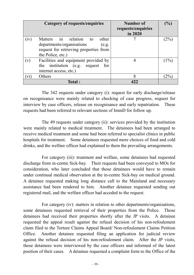| <b>Category of requests/enquiries</b>                                                                                                           | Number of<br>requests/enquiries<br>in 2020 | $(\%)$ |
|-------------------------------------------------------------------------------------------------------------------------------------------------|--------------------------------------------|--------|
| Matters in relation<br>other<br>(iv)<br>to<br>departments/organisations<br>(e.g.<br>request for retrieving properties from<br>the Police, etc.) |                                            | $2\%$  |
| Facilities and equipment provided by<br>$(\rm v)$<br>the institution (e.g. request<br>for<br>internet access, etc.)                             |                                            | $(1\%$ |
| Others<br>V1                                                                                                                                    | 8                                          | $2\%$  |
| <b>Total:</b>                                                                                                                                   |                                            |        |

The 342 requests under category (i): request for early discharge/release on recognisance were mainly related to checking of case progress, request for interview by case officers, release on recognisance and early repatriation. These requests had been referred to relevant sections of ImmD for follow up.

The 49 requests under category (ii): services provided by the institution were mainly related to medical treatment. The detainees had been arranged to receive medical treatment and some had been referred to specialist clinics in public hospitals for treatment. Some detainees requested more choices of food and cold drinks, and the welfare officer had explained to them the prevailing arrangements.

For category (iii): treatment and welfare, some detainees had requested discharge from in-centre Sick-bay. Their requests had been conveyed to MOs for consideration, who later concluded that those detainees would have to remain under continual medical observation at the in-centre Sick-bay on medical ground. A detainee requested making long distance call to the Mainland and necessary assistance had been rendered to him. Another detainee requested sending out registered mail, and the welfare officer had acceded to the request.

For category (iv): matters in relation to other departments/organisations, some detainees requested retrieval of their properties from the Police. Those detainees had received their properties shortly after the JP visits. A detainee requested the appeal result against the refusal decision of his non-refoulement claim filed to the Torture Claims Appeal Board/ Non-refoulement Claims Petition Office. Another detainee requested filing an application for judicial review against the refusal decision of his non-refoulement claim. After the JP visits, those detainees were interviewed by the case officers and informed of the latest position of their cases. A detainee requested a complaint form to the Office of the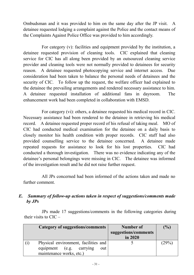Ombudsman and it was provided to him on the same day after the JP visit. A detainee requested lodging a complaint against the Police and the contact means of the Complaints Against Police Office was provided to him accordingly.

For category (v): facilities and equipment provided by the institution, a detainee requested provision of cleaning tools. CIC explained that cleaning service for CIC has all along been provided by an outsourced cleaning service provider and cleaning tools were not normally provided to detainees for security reason. A detainee requested photocopying service and internet access. Due consideration had been taken to balance the personal needs of detainees and the security of CIC. To follow up the request, the welfare officer had explained to the detainee the prevailing arrangements and rendered necessary assistance to him. A detainee requested installation of additional fans in dayroom. The enhancement work had been completed in collaboration with EMSD.

For category (vi): others, a detainee requested his medical record in CIC. Necessary assistance had been rendered to the detainee in retrieving his medical record. A detainee requested proper record of his refusal of taking meal. MO of CIC had conducted medical examination for the detainee on a daily basis to closely monitor his health condition with proper records. CIC staff had also provided counselling service to the detainee concerned. A detainee made repeated requests for assistance to look for his lost properties. CIC had conducted a thorough investigation. There was no evidence indicating any of the detainee's personal belongings were missing in CIC. The detainee was informed of the investigation result and he did not raise further request.

All JPs concerned had been informed of the actions taken and made no further comment.

## *E. Summary of follow-up actions taken in respect of suggestions/comments made by JPs*

JPs made 17 suggestions/comments in the following categories during their visits to CIC –

| Category of suggestions/comments                                                                    | Number of<br>suggestions/comments<br>in 2020 | $\mathcal{O}'_{\mathbf{0}}$ |
|-----------------------------------------------------------------------------------------------------|----------------------------------------------|-----------------------------|
| Physical environment, facilities and<br>equipment (e.g. carrying<br>out<br>maintenance works, etc.) |                                              | (29%)                       |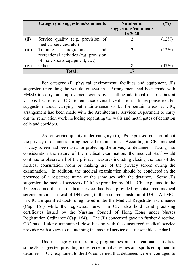|       | <b>Category of suggestions/comments</b>                                                                     | Number of<br>suggestions/comments<br>in 2020 | $(\%)$   |
|-------|-------------------------------------------------------------------------------------------------------------|----------------------------------------------|----------|
| (ii)  | Service quality (e.g. provision of<br>medical services, etc.)                                               |                                              | $(12\%)$ |
| (iii) | Training<br>and<br>programmes<br>recreational activities (e.g. provision<br>of more sports equipment, etc.) |                                              | $(12\%)$ |
| (iv)  | Others                                                                                                      | 8                                            | $(47\%)$ |
|       | <b>Total:</b>                                                                                               |                                              |          |

For category (i): physical environment, facilities and equipment, JPs suggested upgrading the ventilation system. Arrangement had been made with EMSD to carry out improvement works by installing additional electric fans at various locations of CIC to enhance overall ventilation. In response to JPs' suggestion about carrying out maintenance works for certain areas at CIC, arrangement had been made with the Architectural Services Department to carry out the renovation work including repainting the walls and metal gates of detention cells and corridors.

As for service quality under category (ii), JPs expressed concern about the privacy of detainees during medical examination. According to CIC, medical privacy screen had been used for protecting the privacy of detainee. Taking into consideration the nature of the medical examination, the medical staff would continue to observe all of the privacy measures including closing the door of the medical consultation room or making use of the privacy screen during the examination. In addition, the medical examination should be conducted in the presence of a registered nurse of the same sex with the detainee. Some JPs suggested the medical services of CIC be provided by DH. CIC explained to the JPs concerned that the medical services had been provided by outsourced medical service provider instead of DH owing to the resource constraint of DH. All MOs in CIC are qualified doctors registered under the Medical Registration Ordinance (Cap. 161) while the registered nurse in CIC also hold valid practising certificates issued by the Nursing Council of Hong Kong under Nurses Registration Ordinance (Cap. 164). The JPs concerned gave no further directive. CIC has all along maintained close liaision with the outsourced medical service provider with a view to maintaining the medical service at a reasonable standard.

Under category (iii): training programmes and recreational activities, some JPs suggested providing more recreational activities and sports equipment to detainees. CIC explained to the JPs concerned that detainees were encouraged to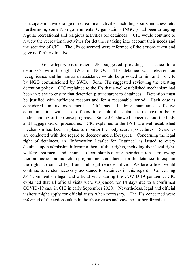participate in a wide range of recreational activities including sports and chess, etc. Furthermore, some Non-governmental Organisations (NGOs) had been arranging regular recreational and religious activities for detainees. CIC would continue to review the recreational activities for detainees taking into account their needs and the security of CIC. The JPs concerned were informed of the actions taken and gave no further directive.

 For category (iv): others, JPs suggested providing assistance to a detainee's wife through SWD or NGOs. The detainee was released on recognisance and humanitarian assistance would be provided to him and his wife by NGO commissioned by SWD. Some JPs suggested reviewing the existing detention policy. CIC explained to the JPs that a well-established mechanism had been in place to ensure that detention p transparent to detainees. Detention must be justified with sufficient reasons and for a reasonable period. Each case is considered on its own merit. CIC has all along maintained effective communication with case officers to enable the detainees to have a better understanding of their case progress. Some JPs showed concern about the body and baggage search procedures. CIC explained to the JPs that a well-established mechanism had been in place to monitor the body search procedures. Searches are conducted with due regard to decency and self-respect. Concerning the legal right of detainees, an "Information Leaflet for Detainee" is issued to every detainee upon admission informing them of their rights, including their legal right, welfare, treatments and channels of complaints during their detention. Following their admission, an induction programme is conducted for the detainees to explain the rights to contact legal aid and legal representative. Welfare officer would continue to render necessary assistance to detainees in this regard. Concerning JPs' comment on legal and official visits during the COVID-19 pandemic, CIC explained that all official visits were suspended for 14 days due to a confirmed COVID-19 case in CIC in early September 2020. Nevertheless, legal and official visitors might apply for official visits when necessary. The JPs concerned were informed of the actions taken in the above cases and gave no further directive.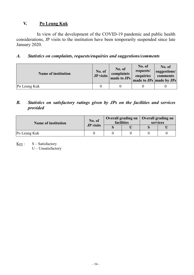## **V. Po Leung Kuk**

 In view of the development of the COVID-19 pandemic and public health considerations, JP visits to the institution have been temporarily suspended since late January 2020.

## *A. Statistics on complaints, requests/enquiries and suggestions/comments*

| <b>Name of institution</b> | No. of<br>JP visits | No. of<br>complaints<br>made to JPs | No. of<br>requests/<br>enquiries | No. of<br>suggestions/<br>comments<br>made to JPs made by JPs |
|----------------------------|---------------------|-------------------------------------|----------------------------------|---------------------------------------------------------------|
| Po Leung Kuk               |                     |                                     |                                  |                                                               |

#### *B. Statistics on satisfactory ratings given by JPs on the facilities and services provided*

| <b>Name of institution</b> | No. of<br><b>JP</b> visits | <b>Overall grading on</b><br>facilities |  | Overall grading on<br>services |  |
|----------------------------|----------------------------|-----------------------------------------|--|--------------------------------|--|
|                            |                            |                                         |  |                                |  |
| Po Leung Kuk               |                            |                                         |  |                                |  |

 $Key: S-Satisfactory$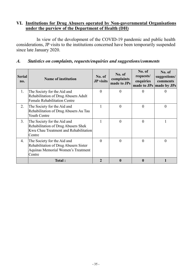#### **VI. Institutions for Drug Abusers operated by Non-governmental Organisations under the purview of the Department of Health (DH)**

 In view of the development of the COVID-19 pandemic and public health considerations, JP visits to the institutions concerned have been temporarily suspended since late January 2020.

#### *A. Statistics on complaints, requests/enquiries and suggestions/comments*

| <b>Serial</b><br>no. | <b>Name of institution</b>                                                                                            | No. of<br><b>JP</b> visits | No. of<br>complaints<br>made to JPs | No. of<br>requests/<br>enquiries | No. of<br>suggestions/<br>comments<br>made to JPs   made by JPs |
|----------------------|-----------------------------------------------------------------------------------------------------------------------|----------------------------|-------------------------------------|----------------------------------|-----------------------------------------------------------------|
| 1.                   | The Society for the Aid and<br>Rehabilitation of Drug Abusers Adult<br><b>Female Rehabilitation Centre</b>            | $\Omega$                   | $\theta$                            | $\theta$                         | $\Omega$                                                        |
| 2.                   | The Society for the Aid and<br>Rehabilitation of Drug Abusers Au Tau<br>Youth Centre                                  |                            | $\theta$                            | $\Omega$                         | $\theta$                                                        |
| 3.                   | The Society for the Aid and<br>Rehabilitation of Drug Abusers Shek<br>Kwu Chau Treatment and Rehabilitation<br>Centre |                            | $\theta$                            | $\theta$                         |                                                                 |
| 4.                   | The Society for the Aid and<br>Rehabilitation of Drug Abusers Sister<br>Aquinas Memorial Women's Treatment<br>Centre  | $\Omega$                   | $\theta$                            | $\Omega$                         | $\Omega$                                                        |
|                      | Total:                                                                                                                |                            | 0                                   |                                  |                                                                 |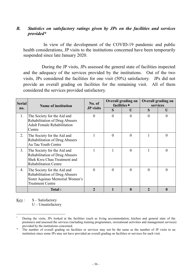#### *B. Statistics on satisfactory ratings given by JPs on the facilities and services provided\**

 In view of the development of the COVID-19 pandemic and public health considerations, JP visits to the institutions concerned have been temporarily suspended since late January 2020.

During the JP visits, JPs assessed the general state of facilities inspected and the adequacy of the services provided by the institutions. Out of the two visits, JPs considered the facilities for one visit (50%) satisfactory. JPs did not provide an overall grading on facilities for the remaining visit. All of them considered the services provided satisfactory.

| <b>Serial</b> | <b>Name of institution</b>                                                                                                         | No. of           | <b>Overall grading on</b><br>facilities $+$ |                | <b>Overall grading on</b><br>services |                |
|---------------|------------------------------------------------------------------------------------------------------------------------------------|------------------|---------------------------------------------|----------------|---------------------------------------|----------------|
| no.           |                                                                                                                                    | <b>JP</b> visits | S                                           | U              | S                                     | U              |
| 1.            | The Society for the Aid and<br>Rehabilitation of Drug Abusers<br><b>Adult Female Rehabilitation</b><br>Centre                      | $\theta$         | $\theta$                                    | $\theta$       | $\theta$                              | $\overline{0}$ |
| 2.            | The Society for the Aid and<br>Rehabilitation of Drug Abusers<br>Au Tau Youth Centre                                               |                  | $\theta$                                    | $\overline{0}$ |                                       | $\theta$       |
| 3.            | The Society for the Aid and<br>Rehabilitation of Drug Abusers<br>Shek Kwu Chau Treatment and<br><b>Rehabilitation Centre</b>       | 1                |                                             | $\theta$       |                                       | $\theta$       |
| 4.            | The Society for the Aid and<br><b>Rehabilitation of Drug Abusers</b><br>Sister Aquinas Memorial Women's<br><b>Treatment Centre</b> | $\Omega$         | $\Omega$                                    | $\Omega$       | $\Omega$                              | $\Omega$       |
|               | Total:                                                                                                                             | $\overline{2}$   |                                             | 0              |                                       | 0              |

 $Key: S - S \neq S$ 

During the visits, JPs looked at the facilities (such as living accommodation, kitchen and general state of the premises) and assessed the services (including training programmes, recreational activities and management services) provided by the institutions concerned.

The number of overall grading on facilities or services may not be the same as the number of JP visits to an institution since some JPs may not have provided an overall grading on facilities or services for each visit.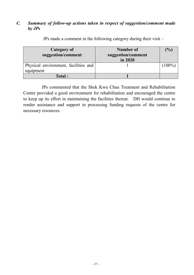#### *C. Summary of follow-up actions taken in respect of suggestion/comment made by JPs*

| Category of<br>suggestion/comment                 | <b>Number of</b><br>suggestion/comment<br>in 2020 | $\frac{1}{2}$ |
|---------------------------------------------------|---------------------------------------------------|---------------|
| Physical environment, facilities and<br>equipment |                                                   | $(100\%)$     |
| Total:                                            |                                                   |               |

JPs made a comment in the following category during their visit –

JPs commented that the Shek Kwu Chau Treatment and Rehabilitation Centre provided a good environment for rehabilitation and encouraged the centre to keep up its effort in maintaining the facilities thereat. DH would continue to render assistance and support in processing funding requests of the centre for necessary resources.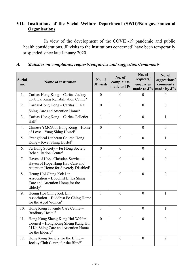## **VII. Institutions of the Social Welfare Department (SWD)/Non-governmental Organisations**

In view of the development of the COVID-19 pandemic and public health considerations, JP visits to the institutions concerned<sup>#</sup> have been temporarily suspended since late January 2020.

| <b>Serial</b><br>no. | <b>Name of institution</b>                                                                                                        | No. of<br><b>JP</b> visits | No. of<br>complaints<br>made to JPs | No. of<br>requests/<br>enquiries | No. of<br>suggestions/<br>comments<br>made to JPs made by JPs |
|----------------------|-----------------------------------------------------------------------------------------------------------------------------------|----------------------------|-------------------------------------|----------------------------------|---------------------------------------------------------------|
| 1.                   | Caritas-Hong Kong - Caritas Jockey<br>Club Lai King Rehabilitation Centre#                                                        | $\theta$                   | $\overline{0}$                      | $\Omega$                         | $\theta$                                                      |
| 2.                   | Caritas-Hong Kong – Caritas Li Ka<br>Shing Care and Attention Home#                                                               | $\overline{0}$             | $\overline{0}$                      | $\overline{0}$                   | $\overline{0}$                                                |
| 3.                   | Caritas-Hong Kong – Caritas Pelletier<br>Hall#                                                                                    | 1                          | $\overline{0}$                      | $\overline{0}$                   | 1                                                             |
| 4.                   | Chinese YMCA of Hong Kong - Home<br>of Love – Yung Shing Hostel#                                                                  | $\overline{0}$             | $\overline{0}$                      | $\overline{0}$                   | $\overline{0}$                                                |
| 5.                   | Evangelical Lutheran Church Hong<br>Kong – Kwai Shing Hostel#                                                                     | $\mathbf{1}$               | $\overline{0}$                      | $\overline{0}$                   | $\mathbf{1}$                                                  |
| 6.                   | Fu Hong Society – Fu Hong Society<br>Rehabilitation Centre#                                                                       | $\theta$                   | $\boldsymbol{0}$                    | $\boldsymbol{0}$                 | $\overline{0}$                                                |
| 7.                   | Haven of Hope Christian Service -<br>Haven of Hope Hang Hau Care and<br>Attention Home for Severely Disabled <sup>#</sup>         | $\mathbf{1}$               | $\overline{0}$                      | $\overline{0}$                   | $\overline{0}$                                                |
| 8.                   | Heung Hoi Ching Kok Lin<br>Association - Buddhist Li Ka Shing<br>Care and Attention Home for the<br>$Elderly$ <sup>#</sup>        | 1                          | $\overline{0}$                      | $\overline{0}$                   | $\overline{0}$                                                |
| 9.                   | Heung Hoi Ching Kok Lin<br>Association - Buddhist Po Ching Home<br>for the Aged Women#                                            | 1                          | $\overline{0}$                      | $\overline{0}$                   | $\mathbf{1}$                                                  |
| 10.                  | Hong Kong Juvenile Care Centre -<br>Bradbury Hostel#                                                                              | $\mathbf{1}$               | $\overline{0}$                      | $\mathbf{0}$                     | $\mathbf{1}$                                                  |
| 11.                  | Hong Kong Sheng Kung Hui Welfare<br>Council - Hong Kong Sheng Kung Hui<br>Li Ka Shing Care and Attention Home<br>for the Elderly# | $\boldsymbol{0}$           | $\boldsymbol{0}$                    | 0                                | $\boldsymbol{0}$                                              |
| 12.                  | Hong Kong Society for the Blind -<br>Jockey Club Centre for the Blind <sup>#</sup>                                                | 1                          | $\boldsymbol{0}$                    | $\boldsymbol{0}$                 | 2                                                             |

## *A. Statistics on complaints, requests/enquiries and suggestions/comments*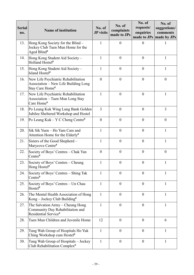| <b>Serial</b><br>no. | <b>Name of institution</b>                                                                        | No. of<br><b>JP</b> visits | No. of<br>complaints<br>made to JPs | No. of<br>requests/<br>enquiries | No. of<br>suggestions/<br>comments<br>made to JPs   made by JPs |
|----------------------|---------------------------------------------------------------------------------------------------|----------------------------|-------------------------------------|----------------------------------|-----------------------------------------------------------------|
| 13.                  | Hong Kong Society for the Blind -<br>Jockey Club Tuen Mun Home for the<br>Aged Blind <sup>#</sup> | $\mathbf{1}$               | $\boldsymbol{0}$                    | $\overline{0}$                   | 1                                                               |
| 14.                  | Hong Kong Student Aid Society -<br>Holland Hostel#                                                | $\mathbf{1}$               | $\boldsymbol{0}$                    | $\overline{0}$                   | $\mathbf{1}$                                                    |
| 15.                  | Hong Kong Student Aid Society -<br>Island Hostel <sup>#</sup>                                     | $\mathbf{1}$               | $\overline{0}$                      | $\mathbf{0}$                     | $\mathbf{1}$                                                    |
| 16.                  | New Life Psychiatric Rehabilitation<br>Association – New Life Building Long<br>Stay Care Home#    | $\overline{0}$             | $\boldsymbol{0}$                    | $\mathbf{0}$                     | $\boldsymbol{0}$                                                |
| 17.                  | New Life Psychiatric Rehabilitation<br>Association - Tuen Mun Long Stay<br>Care Home#             | $\mathbf{1}$               | $\boldsymbol{0}$                    | $\overline{0}$                   | $\mathbf{1}$                                                    |
| 18.                  | Po Leung Kuk Wing Lung Bank Golden<br>Jubilee Sheltered Workshop and Hostel                       | 3                          | $\boldsymbol{0}$                    | $\boldsymbol{0}$                 | 3                                                               |
| 19.                  | Po Leung Kuk – Y C Cheng Centre#                                                                  | $\overline{0}$             | $\overline{0}$                      | $\overline{0}$                   | $\overline{0}$                                                  |
| 20.                  | Sik Sik Yuen - Ho Yam Care and<br>Attention Home for the Elderly <sup>#</sup>                     | 1                          | $\boldsymbol{0}$                    | $\theta$                         | $\mathbf{1}$                                                    |
| 21.                  | Sisters of the Good Shepherd -<br>Marycove Centre#                                                | $\mathbf{1}$               | $\boldsymbol{0}$                    | $\boldsymbol{0}$                 | $\mathbf{1}$                                                    |
| 22.                  | Society of Boys' Centres - Chak Yan<br>$Centre^{\#}$                                              | $\boldsymbol{0}$           | $\boldsymbol{0}$                    | $\boldsymbol{0}$                 | $\boldsymbol{0}$                                                |
| 23.                  | Society of Boys' Centres – Cheung<br>Hong Hostel#                                                 | $\mathbf{1}$               | $\boldsymbol{0}$                    | $\mathbf{0}$                     | $\mathbf{1}$                                                    |
| 24.                  | Society of Boys' Centres – Shing Tak<br>$Centre^{\#}$                                             | $\mathbf{1}$               | $\overline{0}$                      | $\mathbf{0}$                     | 1                                                               |
| 25.                  | Society of Boys' Centres – Un Chau<br>Hostel <sup>#</sup>                                         | $\mathbf{1}$               | $\boldsymbol{0}$                    | $\theta$                         | $\mathbf{1}$                                                    |
| 26.                  | The Mental Health Association of Hong<br>$Kong - Jockey Club Building$ #                          | $\mathbf{1}$               | $\overline{0}$                      | $\theta$                         | $\mathbf{1}$                                                    |
| 27.                  | The Salvation Army – Cheung Hong<br>Community Day Rehabilitation and<br>Residential Service#      | 1                          | $\boldsymbol{0}$                    | $\theta$                         | 1                                                               |
| 28.                  | Tuen Mun Children and Juvenile Home                                                               | 12                         | $\overline{0}$                      | $\theta$                         | 6                                                               |
| 29.                  | Tung Wah Group of Hospitals Ho Yuk<br>Ching Workshop cum Hostel#                                  | $\mathbf{1}$               | $\overline{0}$                      | $\theta$                         | $\mathbf{1}$                                                    |
| 30.                  | Tung Wah Group of Hospitals - Jockey<br>Club Rehabilitation Complex <sup>#</sup>                  | $\mathbf{1}$               | $\boldsymbol{0}$                    | $\boldsymbol{0}$                 | $\mathbf{1}$                                                    |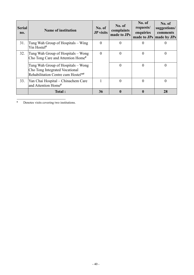| <b>Serial</b><br>no. | <b>Name of institution</b>                                                                                             | No. of<br><b>JP</b> visits | No. of<br>complaints<br>made to JPs | No. of<br>requests/<br>enquiries | No. of<br>suggestions/<br>comments<br>made to JPs made by JPs |
|----------------------|------------------------------------------------------------------------------------------------------------------------|----------------------------|-------------------------------------|----------------------------------|---------------------------------------------------------------|
| 31.                  | Tung Wah Group of Hospitals – Wing<br>Yin Hostel#                                                                      |                            | O                                   |                                  |                                                               |
| 32.                  | Tung Wah Group of Hospitals – Wong<br>Cho Tong Care and Attention Home#                                                | 0                          | $\overline{0}$                      | 0                                | 0                                                             |
|                      | Tung Wah Group of Hospitals - Wong<br>Cho Tong Integrated Vocational<br>Rehabilitation Centre cum Hostel <sup>*#</sup> |                            | $\theta$                            | 0                                | 0                                                             |
| 33.                  | Yan Chai Hospital - Chinachem Care<br>and Attention Home#                                                              |                            | $\theta$                            | 0                                |                                                               |
|                      | Total:                                                                                                                 | 36                         | 0                                   |                                  | 28                                                            |

♦ Denotes visits covering two institutions.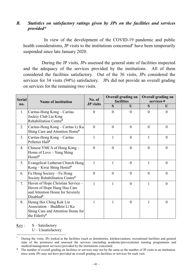#### *B. Statistics on satisfactory ratings given by JPs on the facilities and services provided\**

In view of the development of the COVID-19 pandemic and public health considerations, JP visits to the institutions concerned<sup> $#$ </sup> have been temporarily suspended since late January 2020.

During the JP visits, JPs assessed the general state of facilities inspected and the adequacy of the services provided by the institutions. All of them considered the facilities satisfactory. Out of the 36 visits, JPs considered the services for 34 visits (94%) satisfactory. JPs did not provide an overall grading on services for the remaining two visits.

| <b>Serial</b> | <b>Name of institution</b>                                                                                                   | No. of           | Overall grading on<br>facilities |              | <b>Overall grading on</b><br>services + |                |
|---------------|------------------------------------------------------------------------------------------------------------------------------|------------------|----------------------------------|--------------|-----------------------------------------|----------------|
| no.           |                                                                                                                              | <b>JP</b> visits | S                                | $\mathbf{U}$ | S                                       | U              |
| 1.            | Caritas-Hong Kong - Caritas<br>Jockey Club Lai King<br>Rehabilitation Centre#                                                | $\theta$         | $\theta$                         | $\theta$     | $\theta$                                | $\theta$       |
| 2.            | Caritas-Hong Kong - Caritas Li Ka<br>Shing Care and Attention Home#                                                          | $\mathbf{0}$     | $\theta$                         | $\theta$     | $\overline{0}$                          | $\theta$       |
| 3.            | Caritas-Hong Kong - Caritas<br>Pelletier Hall#                                                                               | 1                | 1                                | $\theta$     | 1                                       | $\theta$       |
| 4.            | Chinese YMCA of Hong Kong -<br>Home of Love - Yung Shing<br>Hostel <sup>#</sup>                                              | $\theta$         | $\theta$                         | $\theta$     | $\theta$                                | $\theta$       |
| 5.            | Evangelical Lutheran Church Hong<br>Kong – Kwai Shing Hostel#                                                                | $\mathbf{1}$     |                                  | $\theta$     |                                         | $\theta$       |
| 6.            | Fu Hong Society – Fu Hong<br>Society Rehabilitation Centre#                                                                  | $\mathbf{0}$     | $\theta$                         | $\theta$     | $\theta$                                | $\theta$       |
| 7.            | Haven of Hope Christian Service -<br>Haven of Hope Hang Hau Care<br>and Attention Home for Severely<br>Disabled <sup>#</sup> | $\mathbf{1}$     | $\mathbf{1}$                     | $\mathbf{0}$ | $\mathbf{1}$                            | $\overline{0}$ |
| 8.            | Heung Hoi Ching Kok Lin<br>Association - Buddhist Li Ka<br>Shing Care and Attention Home for<br>the Elderly#                 | 1                | 1                                | $\theta$     | 1                                       | $\theta$       |

 $Key: S - Satisfactory$ 

During the visits, JPs looked at the facilities (such as dormitories, kitchen/canteen, recreational facilities and general state of the premises) and assessed the services (including academic/prevocational training programmes and medical/management services) provided by the institutions concerned.

The number of overall grading on facilities or services may not be the same as the number of JP visits to an institution since some JPs may not have provided an overall grading on facilities or services for each visit.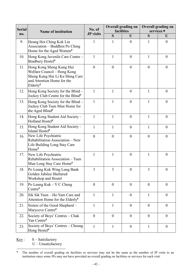| <b>Serial</b> | <b>Name of institution</b>                                                                                                                         | No. of           | <b>Overall grading on</b><br>facilities |                  | <b>Overall grading on</b><br>services + |                  |  |
|---------------|----------------------------------------------------------------------------------------------------------------------------------------------------|------------------|-----------------------------------------|------------------|-----------------------------------------|------------------|--|
| no.           |                                                                                                                                                    | <b>JP</b> visits | S                                       | U                | S                                       | U                |  |
| 9.            | Heung Hoi Ching Kok Lin<br>Association – Buddhist Po Ching<br>Home for the Aged Women#                                                             | $\mathbf{1}$     | 1                                       | $\mathbf{0}$     | 1                                       | $\overline{0}$   |  |
| 10.           | Hong Kong Juvenile Care Centre -<br>Bradbury Hostel#                                                                                               | $\mathbf{1}$     | $\mathbf{1}$                            | $\overline{0}$   | $\mathbf{1}$                            | $\boldsymbol{0}$ |  |
| 11.           | Hong Kong Sheng Kung Hui<br>Welfare Council - Hong Kong<br>Sheng Kung Hui Li Ka Shing Care<br>and Attention Home for the<br>$Elderly$ <sup>#</sup> | $\boldsymbol{0}$ | $\boldsymbol{0}$                        | $\mathbf{0}$     | $\mathbf{0}$                            | $\boldsymbol{0}$ |  |
| 12.           | Hong Kong Society for the Blind –<br>Jockey Club Centre for the Blind#                                                                             | $\mathbf{1}$     | 1                                       | $\overline{0}$   | 1                                       | $\boldsymbol{0}$ |  |
| 13.           | Hong Kong Society for the Blind -<br>Jockey Club Tuen Mun Home for<br>the Aged Blind <sup>#</sup>                                                  | $\mathbf{1}$     | $\mathbf{1}$                            | $\mathbf{0}$     | $\mathbf{1}$                            | $\overline{0}$   |  |
| 14.           | Hong Kong Student Aid Society -<br>Holland Hostel#                                                                                                 | $\mathbf{1}$     | 1                                       | $\overline{0}$   | 1                                       | $\boldsymbol{0}$ |  |
| 15.           | Hong Kong Student Aid Society -<br>Island Hostel <sup>#</sup>                                                                                      | $\mathbf{1}$     | $\mathbf{1}$                            | $\overline{0}$   | $\mathbf{1}$                            | $\boldsymbol{0}$ |  |
| 16.           | New Life Psychiatric<br>Rehabilitation Association - New<br>Life Building Long Stay Care<br>Home <sup>#</sup>                                      | $\boldsymbol{0}$ | $\boldsymbol{0}$                        | $\theta$         | $\boldsymbol{0}$                        | $\boldsymbol{0}$ |  |
| 17.           | New Life Psychiatric<br>Rehabilitation Association - Tuen<br>Mun Long Stay Care Home#                                                              | $\mathbf{1}$     | $\mathbf{1}$                            | $\overline{0}$   | $\mathbf{1}$                            | $\overline{0}$   |  |
| 18.           | Po Leung Kuk Wing Lung Bank<br>Golden Jubilee Sheltered<br>Workshop and Hostel                                                                     | 3                | 3                                       | $\overline{0}$   | 3                                       | $\Omega$         |  |
| 19.           | Po Leung Kuk - Y C Cheng<br>Centre#                                                                                                                | $\overline{0}$   | $\overline{0}$                          | $\mathbf{0}$     | $\mathbf{0}$                            | $\overline{0}$   |  |
| 20.           | Sik Sik Yuen - Ho Yam Care and<br>Attention Home for the Elderly#                                                                                  | $\mathbf{1}$     | $\mathbf{1}$                            | $\theta$         | 1                                       | $\boldsymbol{0}$ |  |
| 21.           | Sisters of the Good Shepherd -<br>Marycove Centre#                                                                                                 | $\mathbf{1}$     | $\mathbf{1}$                            | $\boldsymbol{0}$ | $\overline{0}$                          | $\boldsymbol{0}$ |  |
| 22.           | Society of Boys' Centres – Chak<br>Yan Centre#                                                                                                     | $\overline{0}$   | $\overline{0}$                          | $\theta$         | $\overline{0}$                          | $\overline{0}$   |  |
| 23.           | Society of Boys' Centres - Cheung<br>Hong Hostel#                                                                                                  | $\mathbf{1}$     | $\mathbf{1}$                            | $\theta$         | 1                                       | $\boldsymbol{0}$ |  |

Key: S – Satisfactory

The number of overall grading on facilities or services may not be the same as the number of JP visits to an institution since some JPs may not have provided an overall grading on facilities or services for each visit.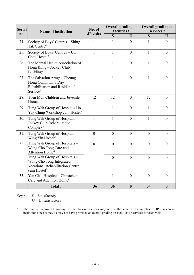| <b>Serial</b><br>no. | <b>Name of institution</b>                                                                                          | No. of<br><b>JP</b> visits | <b>Overall grading on</b><br>facilities $+$ |                  | <b>Overall grading on</b><br>services $+$ |                  |
|----------------------|---------------------------------------------------------------------------------------------------------------------|----------------------------|---------------------------------------------|------------------|-------------------------------------------|------------------|
|                      |                                                                                                                     |                            | $\overline{\mathbf{S}}$                     | $\mathbf{U}$     | $\overline{\mathbf{S}}$                   | U                |
| 24.                  | Society of Boys' Centres - Shing<br>Tak Centre#                                                                     | 1                          | $\mathbf{1}$                                | $\mathbf{0}$     | $\mathbf{1}$                              | $\overline{0}$   |
| 25.                  | Society of Boys' Centres - Un<br>Chau Hostel <sup>#</sup>                                                           | $\mathbf{1}$               | $\mathbf{1}$                                | $\theta$         | $\mathbf{1}$                              | $\theta$         |
| 26.                  | The Mental Health Association of<br>Hong Kong - Jockey Club<br>Building <sup>#</sup>                                | $\mathbf{1}$               | $\mathbf{1}$                                | $\overline{0}$   | $\mathbf{1}$                              | $\overline{0}$   |
| 27.                  | The Salvation Army – Cheung<br>Hong Community Day<br>Rehabilitation and Residential<br>Service#                     | $\mathbf{1}$               | $\mathbf{1}$                                | $\overline{0}$   | $\mathbf{1}$                              | $\overline{0}$   |
| 28.                  | Tuen Mun Children and Juvenile<br>Home                                                                              | 12                         | 12                                          | $\overline{0}$   | 12                                        | $\theta$         |
| 29.                  | Tung Wah Group of Hospitals Ho<br>Yuk Ching Workshop cum Hostel <sup>#</sup>                                        | $\mathbf{1}$               | $\mathbf{1}$                                | $\overline{0}$   | $\mathbf{1}$                              | $\overline{0}$   |
| 30.                  | Tung Wah Group of Hospitals -<br>Jockey Club Rehabilitation<br>Complex <sup>#</sup>                                 | $\mathbf{1}$               | $\mathbf{1}$                                | $\mathbf{0}$     | 1                                         | $\theta$         |
| 31.                  | Tung Wah Group of Hospitals -<br>Wing Yin Hostel <sup>#</sup>                                                       | $\overline{0}$             | $\overline{0}$                              | $\mathbf{0}$     | $\overline{0}$                            | $\theta$         |
| 32.                  | Tung Wah Group of Hospitals -<br>Wong Cho Tong Care and<br>Attention Home#                                          | $\overline{0}$             | $\mathbf{0}$                                | $\overline{0}$   | $\mathbf{0}$                              | $\overline{0}$   |
|                      | Tung Wah Group of Hospitals -<br>Wong Cho Tong Integrated<br><b>Vocational Rehabilitation Centre</b><br>cum Hostel# |                            | $\overline{0}$                              | $\overline{0}$   | $\mathbf{0}$                              | $\overline{0}$   |
| 33.                  | Yan Chai Hospital - Chinachem<br>Care and Attention Home#                                                           | $\mathbf{1}$               | $\mathbf{1}$                                | $\overline{0}$   | $\mathbf{0}$                              | $\overline{0}$   |
|                      | Total:                                                                                                              | 36                         | 36                                          | $\boldsymbol{0}$ | 34                                        | $\boldsymbol{0}$ |

Key: S - Satisfactory

<sup>&</sup>lt;sup>+</sup> The number of overall grading on facilities or services may not be the same as the number of JP visits to an institution since some JPs may not have provided an overall grading on facilities or services for each visit.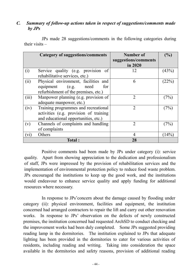#### *C. Summary of follow-up actions taken in respect of suggestions/comments made by JPs*

|       | <b>Category of suggestions/comments</b>                                                                                | <b>Number of</b><br>suggestions/comments<br>in 2020 | (%)   |
|-------|------------------------------------------------------------------------------------------------------------------------|-----------------------------------------------------|-------|
| (i)   | Service quality (e.g. provision of<br>rehabilitative services, etc.)                                                   | 12                                                  | (43%) |
| (ii)  | Physical environment, facilities and<br>equipment (e.g. need<br>for<br>refurbishment of the premises, etc.)            | 6                                                   | (22%) |
| (iii) | Manpower planning (e.g. provision of<br>adequate manpower, etc.)                                                       | $\mathcal{D}_{\mathcal{L}}$                         | (7%)  |
| (iv)  | Training programmes and recreational<br>activities (e.g. provision of training<br>and educational opportunities, etc.) | $\overline{2}$                                      | (7%)  |
| (v)   | Channels of complaints and handling<br>of complaints                                                                   | $\overline{2}$                                      | (7%   |
| (vi)  | Others                                                                                                                 | 4                                                   | (14%) |
|       | Total:                                                                                                                 | 28                                                  |       |

JPs made 28 suggestions/comments in the following categories during their visits –

Positive comments had been made by JPs under category (i): service quality. Apart from showing appreciation to the dedication and professionalism of staff, JPs were impressed by the provision of rehabilitation services and the implementation of environmental protection policy to reduce food waste problem. JPs encouraged the institutions to keep up the good work, and the institutions would endeavour to enhance service quality and apply funding for additional resources where necessary.

In response to JPs'concern about the damage caused by flooding under category (ii): physical environment, facilities and equipment, the institution concerned had arranged contractors to repair the lift and carry out other renovation works. In response to JPs' observation on the defects of newly constructed premises, the institution concerned had requested ArchSD to conduct checking and the improvement works had been duly completed. Some JPs suggested providing reading lamp in the dormitories. The institution explained to JPs that adequate lighting has been provided in the dormitories to cater for various activities of residents, including reading and writing. Taking into consideration the space available in the dormitories and safety reasons, provision of additional reading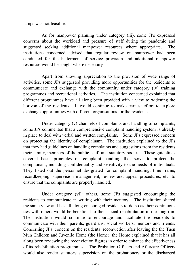lamps was not feasible.

As for manpower planning under category (iii), some JPs expressed concerns about the workload and pressure of staff during the pandemic and suggested seeking additional manpower resources where appropriate. The institutions concerned advised that regular review on manpower had been conducted for the betterment of service provision and additional manpower resources would be sought where necessary.

Apart from showing appreciation to the provision of wide range of activities, some JPs suggested providing more opportunities for the residents to communicate and exchange with the community under category (iv) training programmes and recreational activities. The institution concerned explained that different programmes have all along been provided with a view to widening the horizon of the residents. It would continue to make earnest effort to explore exchange opportunities with different organisations for the residents.

Under category (v) channels of complaints and handling of complaints, some JPs commented that a comprehensive complaint handling system is already in place to deal with verbal and written complaints. Some JPs expressed concern on protecting the identity of complainant. The institution explained to the JPs that they had guidelines on handling complaints and suggestions from the residents, their family, members of the public, staff and statutory bodies. These guidelines covered basic principles on complaint handling that serve to protect the complainant, including confidentiality and sensitivity to the needs of individuals. They listed out the personnel designated for complaint handling, time frame, recordkeeping, supervision management, review and appeal procedures, etc. to ensure that the complaints are properly handled.

Under category (vi): others, some JPs suggested encouraging the residents to communicate in writing with their mentors. The institution shared the same view and has all along encouraged residents to do so as their continuous ties with others would be beneficial to their social rehabilitation in the long run. The institution would continue to encourage and facilitate the residents to communicate with their parents, guardians, social workers, mentors and friends. Concerning JPs' concern on the residents' reconviction after leaving the the Tuen Mun Children and Juvenile Home (the Home), the Home explained that it has all along been reviewing the reconviction figures in order to enhance the effectiveness of its rehabilitation programmes. The Probation Officers and Aftercare Officers would also render statutory supervision on the probationers or the discharged